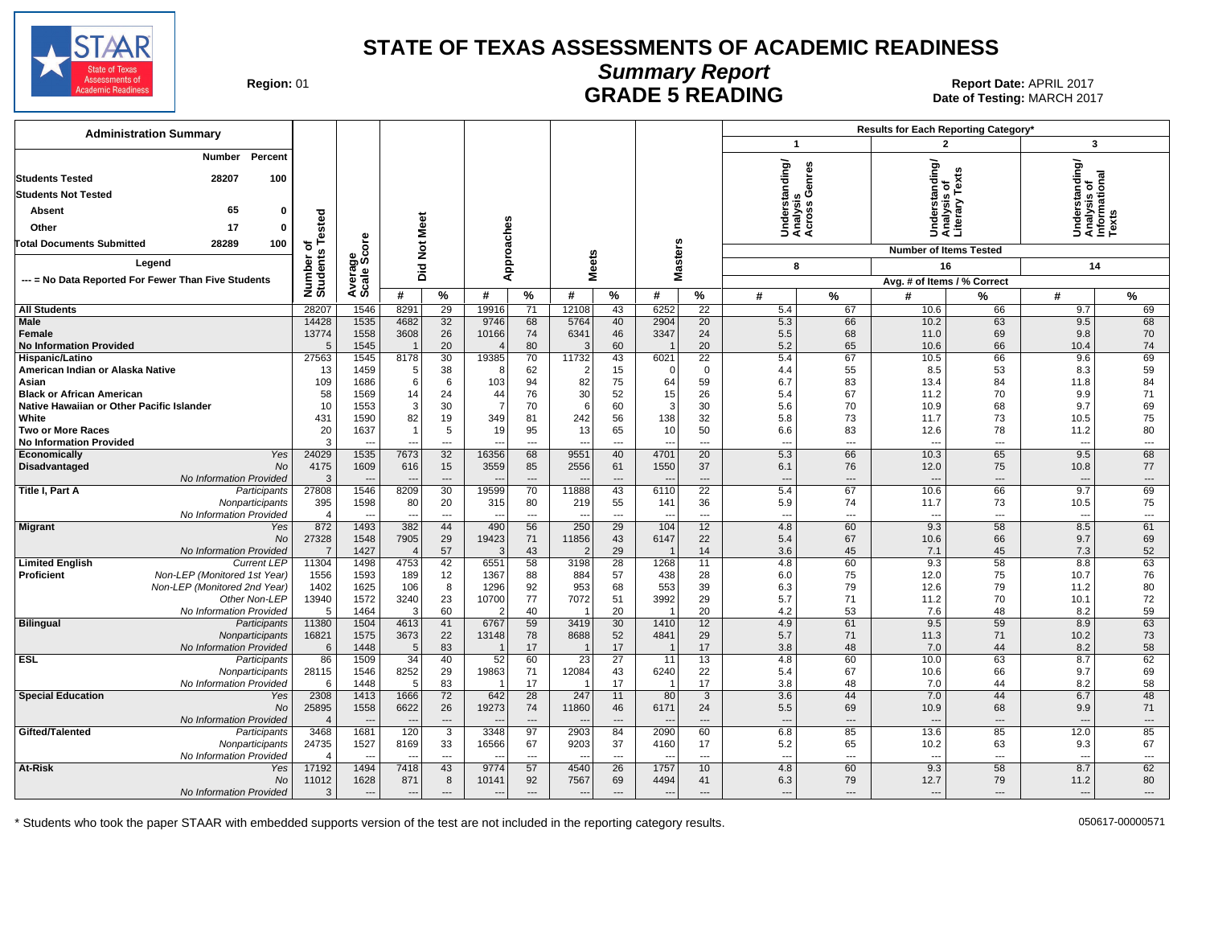

# **Summary Report**

Region: 01 **Region: 01 CONTRIGGLARGE 5 READING Report Date: APRIL 2017**<br>1201 **RADE 5 READING** Date of Testing: MARCH Date of Testing: MARCH 2017

| <b>Administration Summary</b>                                                                                         |                       |                          |                          |                          |                          |                          |                          |                          |                                  |                 |                                 |                          | Results for Each Reporting Category* |                          |                                                |                |
|-----------------------------------------------------------------------------------------------------------------------|-----------------------|--------------------------|--------------------------|--------------------------|--------------------------|--------------------------|--------------------------|--------------------------|----------------------------------|-----------------|---------------------------------|--------------------------|--------------------------------------|--------------------------|------------------------------------------------|----------------|
|                                                                                                                       |                       |                          |                          |                          |                          |                          |                          |                          |                                  |                 | $\mathbf{1}$                    |                          | 2                                    |                          | 3                                              |                |
| Percent<br>Number<br>28207<br>100<br><b>Students Tested</b><br><b>Students Not Tested</b><br>65<br>$\Omega$<br>Absent |                       |                          |                          |                          |                          |                          |                          |                          |                                  |                 | rstanding/<br>್ತ್ರ ಲೆ<br>'ທ່    | enres                    | iderstanding/<br>ialysis_of          | Text<br>≧                | Understanding/<br>Analysis of<br>Informational |                |
|                                                                                                                       |                       |                          |                          |                          |                          |                          |                          |                          |                                  |                 | Under<br>Analys<br>Across       |                          | Under<br>Analys<br>Literal           |                          |                                                |                |
| 17<br>Other<br>$\mathbf{0}$                                                                                           | Tested                |                          | Meet                     |                          |                          |                          |                          |                          |                                  |                 |                                 |                          |                                      |                          |                                                |                |
| 28289<br>100<br><b>Total Documents Submitted</b>                                                                      | ৳                     | ge<br>Score              | <b>Did Not</b>           |                          |                          | Approaches               |                          |                          | <b>Masters</b>                   |                 |                                 |                          | <b>Number of Items Tested</b>        |                          |                                                |                |
| Legend                                                                                                                | Number of<br>Students |                          |                          |                          |                          |                          | <b>Meets</b>             |                          |                                  |                 | 8                               |                          | 16                                   |                          | 14                                             |                |
| --- = No Data Reported For Fewer Than Five Students                                                                   |                       | cale;                    |                          |                          |                          |                          |                          |                          |                                  |                 |                                 |                          | Avg. # of Items / % Correct          |                          |                                                |                |
|                                                                                                                       |                       | ∢ທ                       | #                        | %                        | #                        | $\frac{9}{6}$            | #                        | %                        | #                                | $\%$            | #                               | %                        | #                                    | %                        | #                                              | %              |
| <b>All Students</b>                                                                                                   | 28207                 | 1546                     | 8291                     | 29                       | 19916                    | 71                       | 12108                    | 43                       | 6252                             | $\overline{22}$ | 5.4                             | 67                       | 10.6                                 | 66                       | 9.7                                            | 69             |
| <b>Male</b>                                                                                                           | 14428                 | 1535                     | 4682                     | 32                       | 9746                     | 68                       | 5764                     | 40                       | 2904                             | 20              | 5.3                             | 66                       | 10.2                                 | 63                       | 9.5                                            | 68             |
| <b>Female</b><br><b>No Information Provided</b>                                                                       | 13774<br>5            | 1558<br>1545             | 3608<br>$\overline{1}$   | 26<br>20                 | 10166<br>$\overline{4}$  | 74<br>80                 | 6341<br>G                | 46<br>60                 | 3347<br>$\overline{\phantom{0}}$ | 24<br>20        | 5.5<br>5.2                      | 68<br>65                 | 11.0<br>10.6                         | 69<br>66                 | 9.8<br>10.4                                    | 70<br>74       |
| Hispanic/Latino                                                                                                       | 27563                 | 1545                     | 8178                     | 30                       | 19385                    | 70                       | 11732                    | 43                       | 6021                             | 22              | 5.4                             | 67                       | 10.5                                 | 66                       | 9.6                                            | 69             |
| American Indian or Alaska Native                                                                                      | 13                    | 1459                     | 5                        | 38                       | -8                       | 62                       |                          | 15                       | - 0                              | $\mathbf 0$     | 4.4                             | 55                       | 8.5                                  | 53                       | 8.3                                            | 59             |
| Asian                                                                                                                 | 109                   | 1686                     | 6                        | 6                        | 103                      | 94                       | 82                       | 75                       | 64                               | 59              | 6.7                             | 83                       | 13.4                                 | 84                       | 11.8                                           | 84             |
| <b>Black or African American</b>                                                                                      | 58                    | 1569                     | 14                       | 24                       | 44                       | 76                       | 30                       | 52                       | 15                               | 26              | 5.4                             | 67                       | 11.2                                 | 70                       | 9.9                                            | 71             |
| Native Hawaiian or Other Pacific Islander                                                                             | 10                    | 1553                     | 3                        | 30                       | $\overline{7}$           | 70                       | -6                       | 60                       | 3                                | 30              | 5.6                             | 70                       | 10.9                                 | 68                       | 9.7                                            | 69             |
| White                                                                                                                 | 431                   | 1590                     | 82                       | 19                       | 349                      | 81                       | 242                      | 56                       | 138                              | 32              | 5.8                             | 73                       | 11.7                                 | 73                       | 10.5                                           | 75             |
| <b>Two or More Races</b><br><b>No Information Provided</b>                                                            | 20<br>3               | 1637                     | $\overline{1}$           | 5<br>$\overline{a}$      | 19                       | 95<br>---                | 13                       | 65<br>---                | 10                               | 50<br>---       | 6.6                             | 83<br>---                | 12.6<br>$\overline{\phantom{a}}$     | 78<br>---                | 11.2                                           | 80             |
| Economically<br>Yes                                                                                                   | 24029                 | 1535                     | 7673                     | 32                       | 16356                    | 68                       | 9551                     | 40                       | 4701                             | 20              | $\overline{\phantom{a}}$<br>5.3 | 66                       | 10.3                                 | 65                       | $\overline{\phantom{a}}$<br>9.5                | ---<br>68      |
| <b>Disadvantaged</b><br><b>No</b>                                                                                     | 4175                  | 1609                     | 616                      | 15                       | 3559                     | 85                       | 2556                     | 61                       | 1550                             | 37              | 6.1                             | 76                       | 12.0                                 | 75                       | 10.8                                           | 77             |
| No Information Provided                                                                                               | 3                     |                          |                          | $\overline{a}$           |                          | $\overline{\phantom{a}}$ |                          |                          |                                  | $\overline{a}$  | $\overline{\phantom{a}}$        | $\overline{a}$           |                                      | $\overline{\phantom{a}}$ |                                                | ---            |
| Title I, Part A<br>Participants                                                                                       | 27808                 | 1546                     | 8209                     | 30                       | 19599                    | 70                       | 11888                    | 43                       | 6110                             | 22              | 5.4                             | 67                       | 10.6                                 | 66                       | 9.7                                            | 69             |
| Nonparticipants                                                                                                       | 395                   | 1598                     | 80                       | 20                       | 315                      | 80                       | 219                      | 55                       | 141                              | 36              | 5.9                             | 74                       | 11.7                                 | 73                       | 10.5                                           | 75             |
| No Information Provided                                                                                               | 4                     |                          |                          | $\qquad \qquad \cdots$   | $\sim$                   | $\overline{\phantom{a}}$ |                          | ---                      |                                  | ---             | $\overline{\phantom{a}}$        | ---                      | $\overline{\phantom{a}}$             | $\hspace{0.05cm} \ldots$ | $\sim$                                         | ---            |
| <b>Migrant</b><br>Yes<br>No                                                                                           | 872<br>27328          | 1493                     | 382<br>7905              | 44                       | 490<br>19423             | 56                       | 250<br>11856             | 29                       | 104                              | 12<br>22        | 4.8                             | 60<br>67                 | 9.3                                  | 58<br>66                 | 8.5                                            | 61<br>69       |
| No Information Provided                                                                                               | $\overline{7}$        | 1548<br>1427             |                          | 29<br>57                 | ß                        | 71<br>43                 |                          | 43<br>29                 | 6147<br>$\overline{1}$           | 14              | 5.4<br>3.6                      | 45                       | 10.6<br>7.1                          | 45                       | 9.7<br>7.3                                     | 52             |
| <b>Limited English</b><br><b>Current LEP</b>                                                                          | 11304                 | 1498                     | 4753                     | 42                       | 6551                     | 58                       | 3198                     | 28                       | 1268                             | 11              | 4.8                             | 60                       | 9.3                                  | 58                       | 8.8                                            | 63             |
| <b>Proficient</b><br>Non-LEP (Monitored 1st Year)                                                                     | 1556                  | 1593                     | 189                      | 12                       | 1367                     | 88                       | 884                      | 57                       | 438                              | 28              | 6.0                             | 75                       | 12.0                                 | 75                       | 10.7                                           | 76             |
| Non-LEP (Monitored 2nd Year)                                                                                          | 1402                  | 1625                     | 106                      | 8                        | 1296                     | 92                       | 953                      | 68                       | 553                              | 39              | 6.3                             | 79                       | 12.6                                 | 79                       | 11.2                                           | 80             |
| Other Non-LEP                                                                                                         | 13940                 | 1572                     | 3240                     | 23                       | 10700                    | 77                       | 7072                     | 51                       | 3992                             | 29              | 5.7                             | 71                       | 11.2                                 | 70                       | 10.1                                           | 72             |
| No Information Provided                                                                                               | 5                     | 1464                     | 3                        | 60                       |                          | 40                       |                          | 20                       |                                  | 20              | 4.2                             | 53                       | 7.6                                  | 48                       | 8.2                                            | 59             |
| <b>Bilingual</b><br>Participants<br>Nonparticipants                                                                   | 11380                 | 1504<br>1575             | 4613                     | 41                       | 6767                     | 59<br>78                 | 3419<br>8688             | 30<br>52                 | 1410<br>4841                     | 12<br>29        | 4.9<br>5.7                      | 61<br>71                 | 9.5<br>11.3                          | 59<br>71                 | 8.9<br>10.2                                    | 63             |
| No Information Provided                                                                                               | 16821<br>6            | 1448                     | 3673<br>5                | 22<br>83                 | 13148                    | 17                       |                          | 17                       |                                  | 17              | 3.8                             | 48                       | 7.0                                  | 44                       | 8.2                                            | 73<br>58       |
| <b>ESL</b><br>Participants                                                                                            | 86                    | 1509                     | 34                       | 40                       | 52                       | 60                       | $\overline{23}$          | $\overline{27}$          | 11                               | 13              | 4.8                             | 60                       | 10.0                                 | 63                       | 8.7                                            | 62             |
| Nonparticipants                                                                                                       | 28115                 | 1546                     | 8252                     | 29                       | 19863                    | 71                       | 12084                    | 43                       | 6240                             | 22              | 5.4                             | 67                       | 10.6                                 | 66                       | 9.7                                            | 69             |
| No Information Provided                                                                                               | 6                     | 1448                     | -5                       | 83                       |                          | 17                       |                          | 17                       |                                  | 17              | 3.8                             | 48                       | 7.0                                  | 44                       | 8.2                                            | 58             |
| <b>Special Education</b><br>Yes                                                                                       | 2308                  | 1413                     | 1666                     | 72                       | 642                      | 28                       | 247                      | 11                       | 80                               | 3               | 3.6                             | 44                       | 7.0                                  | 44                       | 6.7                                            | 48             |
| No                                                                                                                    | 25895                 | 1558                     | 6622                     | 26                       | 19273                    | 74                       | 11860                    | 46                       | 6171                             | 24              | 5.5                             | 69                       | 10.9                                 | 68                       | 9.9                                            | 71             |
| No Information Provided                                                                                               | $\overline{4}$        | $\overline{\phantom{a}}$ | $\sim$                   | $\overline{a}$           | $\overline{\phantom{a}}$ | $\overline{\phantom{a}}$ | $\overline{a}$           | $\overline{\phantom{a}}$ | $\overline{\phantom{a}}$         | $\overline{a}$  | $\sim$                          | $\overline{\phantom{a}}$ |                                      | $\overline{\phantom{a}}$ | $\overline{a}$                                 | $\overline{a}$ |
| Gifted/Talented<br>Participants                                                                                       | 3468<br>24735         | 1681<br>1527             | 120<br>8169              | $\overline{3}$<br>33     | 3348<br>16566            | 97<br>67                 | 2903<br>9203             | 84<br>37                 | 2090<br>4160                     | 60<br>17        | 6.8<br>5.2                      | 85<br>65                 | 13.6<br>10.2                         | 85<br>63                 | 12.0<br>9.3                                    | 85<br>67       |
| Nonparticipants<br>No Information Provided                                                                            | 4                     |                          |                          | $\overline{\phantom{a}}$ |                          | $\overline{\phantom{a}}$ |                          | $---$                    | $\overline{\phantom{a}}$         | ---             | $\overline{\phantom{a}}$        | $\overline{a}$           | $\overline{a}$                       | $\overline{a}$           | $\overline{a}$                                 | ---            |
| At-Risk<br>Yes                                                                                                        | 17192                 | 1494                     | 7418                     | 43                       | 9774                     | 57                       | 4540                     | 26                       | 1757                             | 10 <sup>°</sup> | 4.8                             | 60                       | 9.3                                  | 58                       | 8.7                                            | 62             |
| No                                                                                                                    | 11012                 | 1628                     | 871                      | 8                        | 10141                    | 92                       | 7567                     | 69                       | 4494                             | 41              | 6.3                             | 79                       | 12.7                                 | 79                       | 11.2                                           | 80             |
| No Information Provided                                                                                               | 3                     | $\overline{\phantom{a}}$ | $\overline{\phantom{a}}$ | $\overline{\phantom{a}}$ | ---                      | $\cdots$                 | $\overline{\phantom{a}}$ |                          | $\overline{\phantom{a}}$         | ---             | $\overline{a}$                  | $\overline{\phantom{a}}$ |                                      | $\overline{\phantom{a}}$ | $\overline{\phantom{a}}$                       | ---            |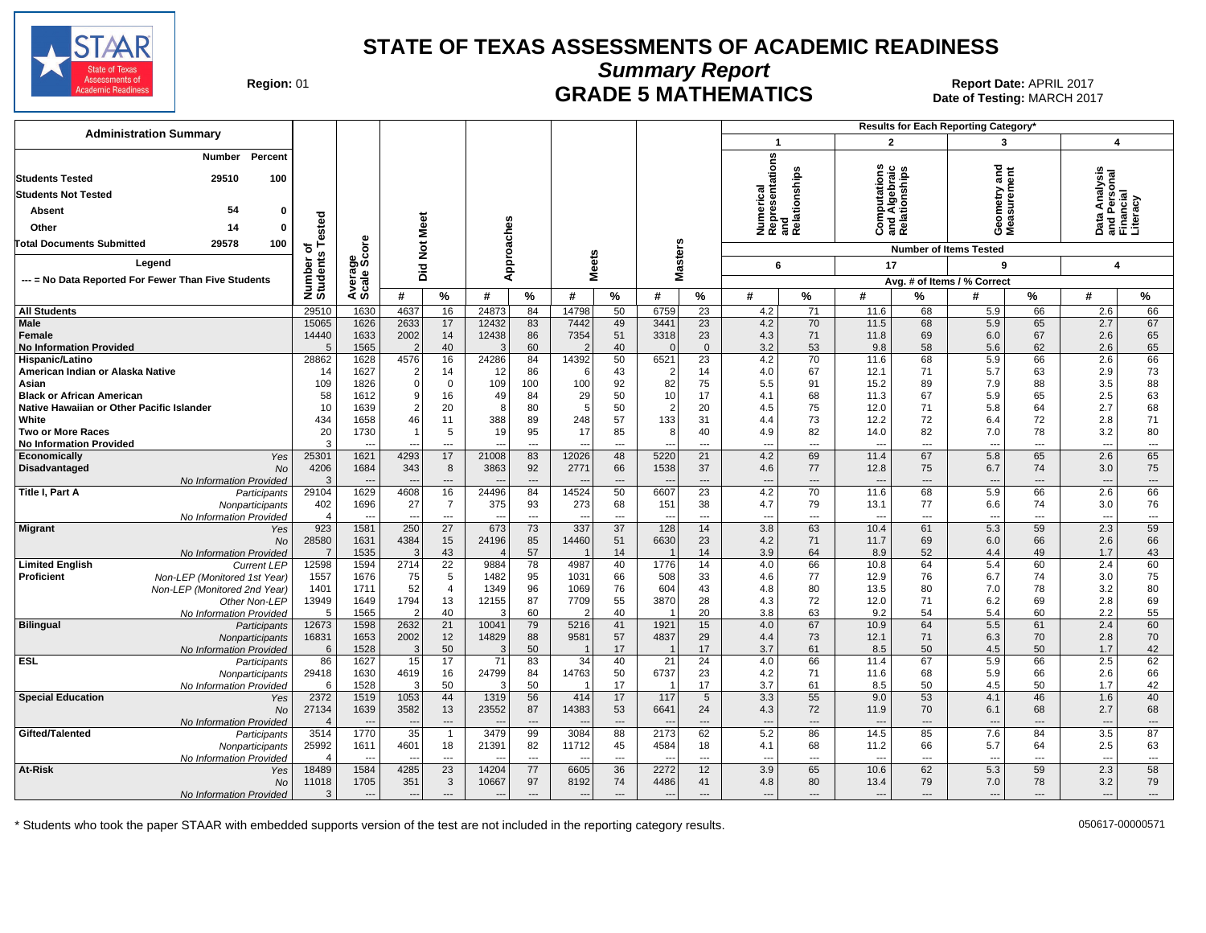

**Summary Report**

Region: 01 **Region: 01 CRADE 5 MATHEMATICS Date of Testing: MARCH 2017 Report Date: APRIL 2017** Date of Testing: MARCH 2017

| <b>Administration Summary</b>                                                 |                         |                          |               |                        |                          |                          |                          |                |                          |                          |                                |                |                          |                | Results for Each Reporting Category' |                |                                  |                          |
|-------------------------------------------------------------------------------|-------------------------|--------------------------|---------------|------------------------|--------------------------|--------------------------|--------------------------|----------------|--------------------------|--------------------------|--------------------------------|----------------|--------------------------|----------------|--------------------------------------|----------------|----------------------------------|--------------------------|
|                                                                               |                         |                          |               |                        |                          |                          |                          |                |                          |                          | $\mathbf{1}$                   |                | $\overline{2}$           |                | 3                                    |                | $\boldsymbol{4}$                 |                          |
| Percent<br>Number<br>29510<br><b>Students Tested</b><br>100                   |                         |                          |               |                        |                          |                          |                          |                |                          |                          | ဖို့<br>ation                  | Relationships  | utation<br>ঢ়            | tionship       | ठ<br>ā,                              | ēñ             | a Analysis<br>Personal<br>nncial |                          |
| <b>Students Not Tested</b>                                                    |                         |                          |               |                        |                          |                          |                          |                |                          |                          |                                |                | Algebr                   |                | metry<br>surem                       |                |                                  |                          |
| 54<br><b>Absent</b><br>$\Omega$                                               |                         |                          |               |                        |                          |                          |                          |                |                          |                          | Numerical<br>Representa<br>and |                |                          |                |                                      |                |                                  |                          |
| Other<br>14                                                                   | ested                   |                          | Meet          |                        |                          |                          |                          |                |                          |                          |                                |                | ō<br>ت ≌ ت               | 곧 품            | Gea<br>Nea                           |                | 짇<br>ಕ<br>ᅀᅙᄔ                    | rina<br>تاقع             |
| <b>Total Documents Submitted</b><br>29578<br>100                              | $5 +$                   | ge<br>Score              | ă             |                        |                          |                          |                          |                |                          |                          |                                |                |                          |                | <b>Number of Items Tested</b>        |                |                                  |                          |
| Legend                                                                        | S<br>Number<br>Student: |                          | id<br>Di      |                        | Approaches               |                          | eets                     |                | asters                   |                          | 6                              |                | 17                       |                | 9                                    |                | $\boldsymbol{4}$                 |                          |
| --- = No Data Reported For Fewer Than Five Students                           |                         | Average                  |               |                        |                          |                          | ż                        |                | ż                        |                          |                                |                |                          |                | Avg. # of Items / % Correct          |                |                                  |                          |
|                                                                               |                         |                          | #             | $\%$                   | #                        | $\%$                     | #                        | $\%$           | #                        | %                        | #                              | %              | #                        | %              | #                                    | %              | #                                | %                        |
| <b>All Students</b>                                                           | 29510                   | 1630                     | 4637          | 16                     | 24873                    | 84                       | 14798                    | 50             | 6759                     | 23                       | 4.2                            | 71             | 11.6                     | 68             | 5.9                                  | 66             | 2.6                              | 66                       |
| <b>Male</b>                                                                   | 15065                   | 1626                     | 2633          | 17                     | 12432                    | 83                       | 7442                     | 49             | 3441                     | 23                       | 4.2                            | 70             | 11.5                     | 68             | 5.9                                  | 65             | 2.7                              | 67                       |
| Female                                                                        | 14440                   | 1633                     | 2002          | 14                     | 12438                    | 86                       | 7354                     | 51             | 3318                     | 23                       | 4.3                            | 71             | 11.8                     | 69             | 6.0                                  | 67             | 2.6                              | 65                       |
| <b>No Information Provided</b>                                                | $\overline{5}$          | 1565                     |               | 40                     | 3                        | 60                       |                          | 40             | $\Omega$                 | $\mathbf{0}$             | 3.2                            | 53             | 9.8                      | 58             | 5.6                                  | 62             | 2.6                              | 65                       |
| Hispanic/Latino                                                               | 28862                   | 1628                     | 4576          | 16                     | 24286                    | 84                       | 14392                    | 50             | 6521                     | 23                       | 4.2                            | 70             | 11.6                     | 68             | 5.9                                  | 66             | 2.6                              | 66                       |
| American Indian or Alaska Native                                              | 14                      | 1627                     |               | 14                     | 12                       | 86                       | - 6                      | 43             | 2                        | 14                       | 4.0                            | 67             | 12.1                     | 71             | 5.7                                  | 63             | 2.9                              | 73                       |
| Asian                                                                         | 109<br>58               | 1826<br>1612             | $\Omega$<br>9 | 0<br>16                | 109<br>49                | 100<br>84                | 100<br>29                | 92<br>50       | 82<br>10                 | 75<br>17                 | 5.5<br>4.1                     | 91<br>68       | 15.2<br>11.3             | 89<br>67       | 7.9<br>5.9                           | 88<br>65       | 3.5<br>2.5                       | 88<br>63                 |
| <b>Black or African American</b><br>Native Hawaiian or Other Pacific Islander | 10                      | 1639                     |               | 20                     | 8                        | 80                       | .5                       | 50             | $\mathcal{P}$            | 20                       | 4.5                            | 75             | 12.0                     | 71             | 5.8                                  | 64             | 2.7                              | 68                       |
| White                                                                         | 434                     | 1658                     | 46            | 11                     | 388                      | 89                       | 248                      | 57             | 133                      | 31                       | 4.4                            | 73             | 12.2                     | 72             | 6.4                                  | 72             | 2.8                              | 71                       |
| <b>Two or More Races</b>                                                      | 20                      | 1730                     |               | 5                      | 19                       | 95                       | 17                       | 85             | 8                        | 40                       | 4.9                            | 82             | 14.0                     | 82             | 7.0                                  | 78             | 3.2                              | 80                       |
| <b>No Information Provided</b>                                                |                         |                          |               | ---                    | $\overline{\phantom{a}}$ | ---                      |                          | ---            |                          | ---                      | ---                            | ---            | ---                      | ---            | $\overline{\phantom{a}}$             | ---            | ---                              | $\overline{\phantom{a}}$ |
| Economically<br>Yes                                                           | 25301                   | 1621                     | 4293          | 17                     | 21008                    | 83                       | 12026                    | 48             | 5220                     | 21                       | 4.2                            | 69             | 11.4                     | 67             | 5.8                                  | 65             | 2.6                              | 65                       |
| Disadvantaged<br>No                                                           | 4206                    | 1684                     | 343           | 8                      | 3863                     | 92                       | 2771                     | 66             | 1538                     | 37                       | 4.6                            | 77             | 12.8                     | 75             | 6.7                                  | 74             | 3.0                              | 75                       |
| No Information Provided                                                       | 3                       | $\overline{a}$           | <b>.</b>      | $\cdots$               |                          | $\cdots$                 |                          | $\overline{a}$ |                          | ---                      | ---                            | ---            | $\overline{\phantom{a}}$ | $\overline{a}$ | $\overline{\phantom{a}}$             | ---            | $\overline{\phantom{a}}$         | $\cdots$                 |
| Title I, Part A<br>Participants                                               | 29104                   | 1629                     | 4608          | 16                     | 24496                    | 84                       | 14524                    | 50             | 6607                     | 23                       | 4.2                            | 70             | 11.6                     | 68             | 5.9                                  | 66             | 2.6                              | 66                       |
| Nonparticipants                                                               | 402                     | 1696                     | 27            | $\overline{7}$         | 375                      | 93                       | 273                      | 68             | 151                      | 38                       | 4.7                            | 79             | 13.1                     | 77             | 6.6                                  | 74             | 3.0                              | 76                       |
| No Information Provided                                                       | $\overline{4}$          | $\overline{\phantom{a}}$ | $\sim$        | ---                    | $\overline{\phantom{a}}$ | ---                      |                          | ---            |                          | ---                      | ---                            | ---            | ---                      | ---            | $\overline{\phantom{a}}$             | ---            | $\hspace{0.05cm} \ldots$         | $\overline{\phantom{a}}$ |
| <b>Migrant</b><br>Yes                                                         | 923                     | 1581                     | 250           | 27                     | 673                      | 73                       | 337                      | 37             | 128                      | 14                       | 3.8                            | 63             | 10.4                     | 61             | 5.3                                  | 59             | 2.3                              | 59                       |
| <b>No</b>                                                                     | 28580                   | 1631                     | 4384          | 15 <sup>15</sup><br>43 | 24196<br>$\Delta$        | 85<br>57                 | 14460                    | 51<br>14       | 6630                     | 23<br>14                 | 4.2                            | 71<br>64       | 11.7<br>8.9              | 69<br>52       | 6.0<br>4.4                           | 66<br>49       | 2.6                              | 66<br>43                 |
| No Information Provided<br><b>Limited English</b><br><b>Current LEP</b>       | 12598                   | 1535<br>1594             | 2714          | 22                     | 9884                     | 78                       | 4987                     | 40             | 1776                     | 14                       | 3.9<br>4.0                     | 66             | 10.8                     | 64             | 5.4                                  | 60             | 1.7<br>2.4                       | 60                       |
| Proficient<br>Non-LEP (Monitored 1st Year)                                    | 1557                    | 1676                     | 75            | 5                      | 1482                     | 95                       | 1031                     | 66             | 508                      | 33                       | 4.6                            | 77             | 12.9                     | 76             | 6.7                                  | 74             | 3.0                              | 75                       |
| Non-LEP (Monitored 2nd Year)                                                  | 1401                    | 1711                     | 52            | $\overline{4}$         | 1349                     | 96                       | 1069                     | 76             | 604                      | 43                       | 4.8                            | 80             | 13.5                     | 80             | 7.0                                  | 78             | 3.2                              | 80                       |
| Other Non-LEP                                                                 | 13949                   | 1649                     | 1794          | 13                     | 12155                    | 87                       | 7709                     | 55             | 3870                     | 28                       | 4.3                            | 72             | 12.0                     | 71             | 6.2                                  | 69             | 2.8                              | 69                       |
| No Information Provided                                                       | -5                      | 1565                     |               | 40                     | 3                        | 60                       |                          | 40             |                          | 20                       | 3.8                            | 63             | 9.2                      | 54             | 5.4                                  | 60             | 2.2                              | 55                       |
| <b>Bilingual</b><br>Participants                                              | 12673                   | 1598                     | 2632          | 21                     | 10041                    | 79                       | 5216                     | 41             | 1921                     | 15                       | 4.0                            | 67             | 10.9                     | 64             | 5.5                                  | 61             | 2.4                              | 60                       |
| Nonparticipants                                                               | 16831                   | 1653                     | 2002          | 12                     | 14829                    | 88                       | 9581                     | 57             | 4837                     | 29                       | 4.4                            | 73             | 12.1                     | 71             | 6.3                                  | 70             | 2.8                              | 70                       |
| No Information Provided                                                       | 6                       | 1528                     |               | 50                     | 3                        | 50                       |                          | 17             |                          | 17                       | 3.7                            | 61             | 8.5                      | 50             | 4.5                                  | 50             | 1.7                              | 42                       |
| <b>ESL</b><br>Participants                                                    | 86                      | 1627                     | 15            | 17                     | 71                       | 83                       | 34                       | 40             | 21                       | 24                       | 4.0                            | 66             | 11.4                     | 67             | 5.9                                  | 66             | 2.5                              | 62                       |
| Nonparticipants                                                               | 29418                   | 1630                     | 4619          | 16                     | 24799                    | 84                       | 14763                    | 50             | 6737                     | 23                       | 4.2                            | 71             | 11.6                     | 68             | 5.9                                  | 66             | 2.6                              | 66                       |
| No Information Provided                                                       | 6                       | 1528                     |               | 50                     | 3                        | 50                       |                          | 17             |                          | 17                       | 3.7                            | 61             | 8.5                      | 50             | 4.5                                  | 50             | 1.7                              | 42                       |
| <b>Special Education</b><br>Yes                                               | 2372                    | 1519<br>1639             | 1053<br>3582  | 44<br>13               | 1319<br>23552            | 56<br>87                 | 414<br>14383             | 17             | 117                      | 5<br>24                  | 3.3                            | 55<br>72       | 9.0<br>11.9              | 53<br>70       | 4.1                                  | 46<br>68       | 1.6<br>2.7                       | 40<br>68                 |
| No                                                                            | 27134<br>$\overline{4}$ |                          |               | $---$                  |                          | $\overline{\phantom{a}}$ |                          | 53<br>---      | 6641                     | ---                      | 4.3<br>---                     | ---            |                          | $\overline{a}$ | 6.1<br>$\overline{a}$                | ---            | $\overline{\phantom{a}}$         | $\cdots$                 |
| No Information Provided<br>Gifted/Talented<br>Participants                    | 3514                    | 1770                     | 35            | $\mathbf{1}$           | 3479                     | 99                       | 3084                     | 88             | 2173                     | 62                       | 5.2                            | 86             | 14.5                     | 85             | 7.6                                  | 84             | 3.5                              | 87                       |
| Nonparticipants                                                               | 25992                   | 1611                     | 4601          | 18                     | 21391                    | 82                       | 11712                    | 45             | 4584                     | 18                       | 4.1                            | 68             | 11.2                     | 66             | 5.7                                  | 64             | 2.5                              | 63                       |
| No Information Provideo                                                       | $\Delta$                |                          |               | $\overline{a}$         |                          | $\overline{a}$           |                          | $\overline{a}$ |                          | $\overline{a}$           | $\overline{a}$                 | $\overline{a}$ | $\overline{a}$           | $\overline{a}$ | $\overline{a}$                       | $\overline{a}$ | $\overline{\phantom{a}}$         | $\overline{\phantom{a}}$ |
| At-Risk<br>Yes                                                                | 18489                   | 1584                     | 4285          | 23                     | 14204                    | 77                       | 6605                     | 36             | 2272                     | 12                       | 3.9                            | 65             | 10.6                     | 62             | 5.3                                  | 59             | 2.3                              | 58                       |
| No                                                                            | 11018                   | 1705                     | 351           | 3                      | 10667                    | 97                       | 8192                     | 74             | 4486                     | 41                       | 4.8                            | 80             | 13.4                     | 79             | 7.0                                  | 78             | 3.2                              | 79                       |
| No Information Provided                                                       | 3                       | $---$                    | --            | $---$                  | $\overline{\phantom{a}}$ | $---$                    | $\overline{\phantom{a}}$ | $\overline{a}$ | $\overline{\phantom{a}}$ | $\overline{\phantom{a}}$ | ---                            | ---            | $\overline{\phantom{a}}$ | $---$          | $---$                                | $\overline{a}$ | $---$                            | $\cdots$                 |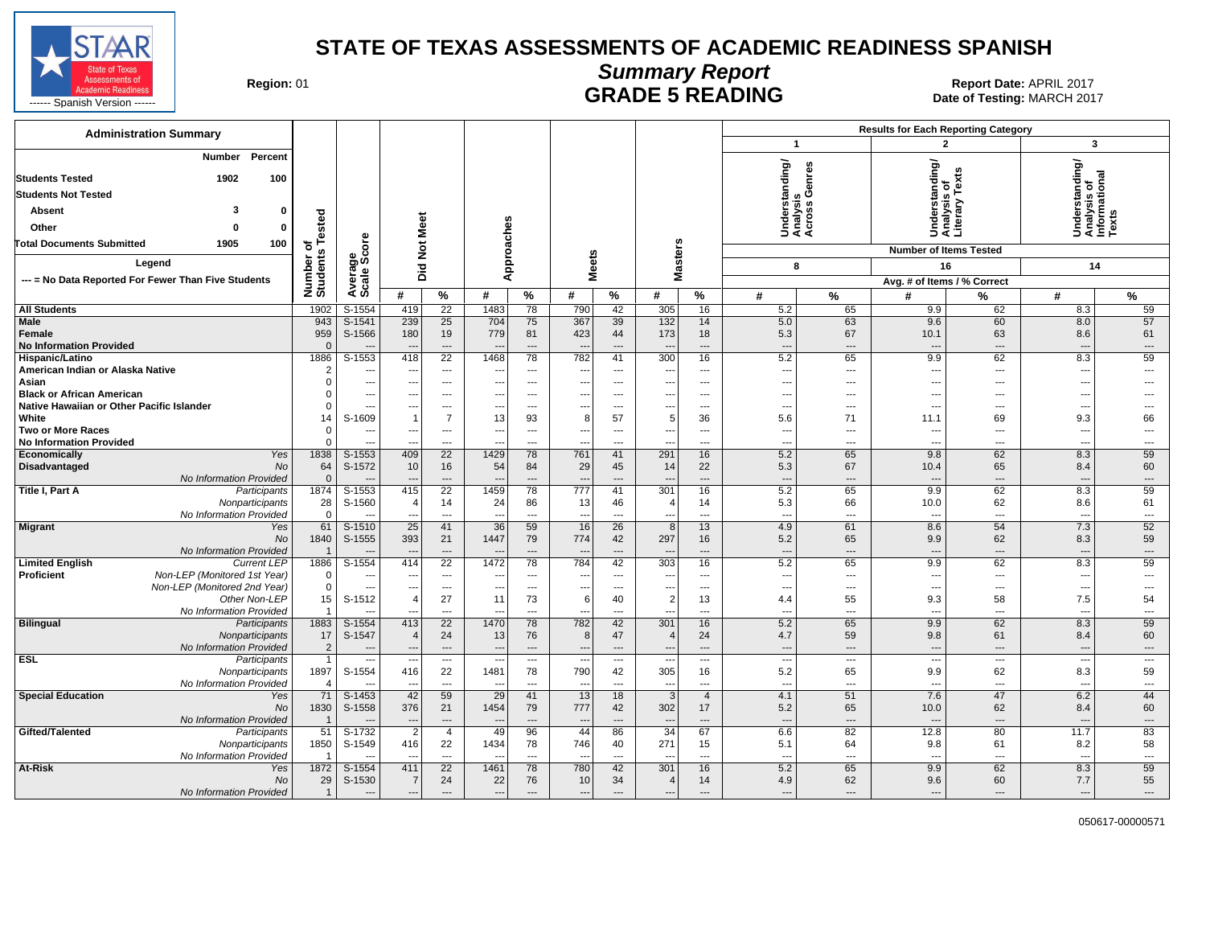

# **Summary Report**

Region: 01 **Region: 01 CONTRIGGLARGE 5 READING Report Date: APRIL 2017**<br>1201 **RADE 5 READING** Date of Testing: MARCH

| $\overline{\mathbf{3}}$<br>$\overline{\mathbf{z}}$<br>$\mathbf{1}$<br>Percent<br>Number<br>Understanding/<br>Analysis<br>Across Genres<br>Understanding/<br>Analysis of<br>Informational<br>Texts<br>tanding/<br>ų,<br><b>Students Tested</b><br>1902<br>100<br>Ř,<br>৳<br><b>Students Not Tested</b><br>್ತೂ ರೆ<br>$\frac{5}{5}$<br>2<br>3<br>$\mathbf{0}$<br>Absent<br>Analys<br>Literal<br>Tested<br>Meet<br>Approaches<br>Other<br>$\Omega$<br>$\Omega$<br>5<br>ge<br>Score<br><b>Masters</b><br><b>Did Not</b><br><b>Total Documents Submitted</b><br>1905<br>100<br>৳<br><b>Number of Items Tested</b><br>Number o'<br>Students<br><b>Meets</b><br>Legend<br>16<br>8<br>14<br>cale;<br>--- = No Data Reported For Fewer Than Five Students<br>Avg. # of Items / % Correct<br>∢ທັ<br>%<br>#<br>$\%$<br>#<br>%<br>#<br>%<br>#<br>#<br>%<br>#<br>%<br>%<br>#<br>78<br>790<br>42<br>305<br>59<br>1902<br>S-1554<br>419<br>22<br>1483<br>16<br>5.2<br>65<br>9.9<br>62<br>8.3<br><b>All Students</b><br>943<br>$S-1541$<br>239<br>25<br>704<br>75<br>367<br>132<br>5.0<br>9.6<br>60<br>57<br>Male<br>39<br>14<br>63<br>8.0<br>959<br>180<br>779<br>423<br>173<br>Female<br>S-1566<br>19<br>81<br>44<br>18<br>5.3<br>67<br>10.1<br>63<br>8.6<br>61<br><b>No Information Provided</b><br>$\Omega$<br>$\sim$<br>---<br>$\overline{a}$<br>$\sim$<br>$\overline{a}$<br>$\overline{\phantom{a}}$<br>---<br>$\qquad \qquad \cdots$<br>$\overline{\phantom{a}}$<br>$---$<br>$\overline{a}$<br>$\overline{a}$<br>$\overline{a}$<br>782<br>5.2<br>59<br>$S-1553$<br>418<br>$\overline{22}$<br>78<br>300<br>9.9<br>62<br>8.3<br>1886<br>1468<br>41<br>16<br>65<br>Hispanic/Latino<br>$\overline{2}$<br>American Indian or Alaska Native<br>$\overline{\phantom{a}}$<br>---<br>$\qquad \qquad \cdots$<br>$\overline{\phantom{a}}$<br>---<br>---<br>$\overline{\phantom{a}}$<br>$\overline{\phantom{a}}$<br>$\overline{\phantom{a}}$<br>$\overline{a}$<br>$\overline{\phantom{a}}$<br>$\overline{\phantom{a}}$<br>$\hspace{0.05cm} \ldots$<br>---<br>$\overline{\phantom{a}}$<br>Asian<br>$\Omega$<br>$\overline{\phantom{a}}$<br>$\overline{\phantom{a}}$<br>---<br>---<br>$\overline{\phantom{a}}$<br>---<br>---<br>$\overline{\phantom{a}}$<br>---<br>$\cdots$<br>$\sim$<br>$---$<br>---<br>$---$<br>$\overline{\phantom{a}}$<br><b>Black or African American</b><br>$\Omega$<br>$\sim$<br>---<br>$---$<br>---<br>$\overline{\phantom{a}}$<br>$\overline{\phantom{a}}$<br>$\overline{a}$<br>$\overline{\phantom{a}}$<br>$---$<br>$\sim$<br>$---$<br>---<br>$---$<br>---<br>$\Omega$<br>Native Hawaiian or Other Pacific Islander<br>$\hspace{0.05cm} \ldots$<br>$\hspace{0.05cm} \ldots$<br>$\overline{\phantom{a}}$<br>$\overline{\phantom{a}}$<br>---<br>---<br>$\overline{\phantom{a}}$<br>---<br>---<br>$\overline{\phantom{a}}$<br>---<br>$\hspace{0.05cm} \ldots$<br>$\sim$<br>$\overline{\phantom{a}}$<br>---<br>S-1609<br>$\overline{7}$<br>57<br>5.6<br>66<br>White<br>14<br>$\overline{1}$<br>13<br>93<br>8<br>5<br>36<br>71<br>69<br>9.3<br>11.1<br><b>Two or More Races</b><br>$\Omega$<br>$---$<br>$\overline{\phantom{a}}$<br>$\overline{a}$<br>$---$<br>$\overline{a}$<br>$---$<br>$-$<br>---<br>---<br>$---$<br>$\sim$<br>---<br>$\overline{\phantom{a}}$<br>$---$<br>---<br>$\Omega$<br><b>No Information Provided</b><br>$-$<br>$\sim$<br>$\overline{a}$<br>$\overline{a}$<br>$\sim$<br>$\overline{a}$<br>$-$<br>$\overline{a}$<br>$\sim$<br>$\overline{a}$<br>$\sim$<br>$\overline{a}$<br>$\sim$<br>1838<br>$S-1553$<br>409<br>$\overline{22}$<br>1429<br>761<br>291<br>16<br>5.2<br>9.8<br>62<br>59<br>Economically<br>Yes<br>78<br>41<br>65<br>8.3<br>No<br>64<br>29<br>22<br>5.3<br>65<br>60<br>Disadvantaged<br>S-1572<br>10<br>16<br>54<br>84<br>45<br>14<br>67<br>10.4<br>8.4<br>No Information Provided<br>$\mathbf{0}$<br>$\overline{\phantom{a}}$<br>$\overline{a}$<br>$\overline{\phantom{a}}$<br>$\overline{\phantom{a}}$<br>$\overline{a}$<br>$\overline{a}$<br>$\sim$<br>$---$<br>---<br>$\overline{\phantom{a}}$<br>1874<br>S-1553<br>22<br>1459<br>777<br>5.2<br>9.9<br>62<br>59<br>Title I, Part A<br>415<br>78<br>41<br>301<br>16<br>65<br>8.3<br>Participants<br>28<br>5.3<br>61<br>Nonparticipants<br>S-1560<br>14<br>24<br>86<br>13<br>46<br>14<br>66<br>10.0<br>62<br>8.6<br>$\overline{4}$<br>4<br>$\Omega$<br>No Information Provided<br>$\sim$<br>$-$<br>$-$<br>$-$<br>$\overline{a}$<br>$\overline{a}$<br>$\overline{\phantom{a}}$<br>$\sim$<br>$-$<br>$\sim$<br>61<br>$S-1510$<br>25<br>41<br>36<br>59<br>16<br>$\overline{26}$<br>13<br>4.9<br>8.6<br>54<br>7.3<br>52<br>8<br>61<br><b>Migrant</b><br>Yes<br>393<br>774<br>59<br><b>No</b><br>1840<br>$S-1555$<br>1447<br>79<br>297<br>16<br>5.2<br>9.9<br>62<br>21<br>42<br>65<br>8.3<br>No Information Provided<br>$\overline{a}$<br>$---$<br>$---$<br>$---$<br>$---$<br>$---$<br>---<br>$---$<br>$\overline{\phantom{a}}$<br>$\overline{\phantom{a}}$<br>$\overline{\phantom{a}}$<br>$\overline{a}$<br>1886<br>$S-1554$<br>414<br>$\overline{22}$<br>1472<br>78<br>784<br>303<br>5.2<br>9.9<br>62<br>59<br><b>Limited English</b><br><b>Current LEP</b><br>42<br>16<br>65<br>8.3<br><b>Proficient</b><br>Non-LEP (Monitored 1st Year)<br>0<br>---<br>$\cdots$<br>---<br>$\overline{a}$<br>$\overline{\phantom{a}}$<br>$---$<br>$\overline{\phantom{a}}$<br>$\overline{\phantom{a}}$<br>$\overline{\phantom{a}}$<br>$---$<br>---<br>---<br>---<br>---<br>---<br>Non-LEP (Monitored 2nd Year)<br>$\mathbf 0$<br>$\hspace{0.05cm} \ldots$<br>---<br>$\overline{\phantom{a}}$<br>---<br>---<br>$\overline{\phantom{a}}$<br>---<br>$\overline{\phantom{a}}$<br>---<br>$\hspace{0.05cm} \ldots$<br>$\sim$<br>$---$<br>$\overline{\phantom{a}}$<br>---<br>$---$<br>Other Non-LEP<br>15<br>S-1512<br>27<br>73<br>40<br>$\overline{2}$<br>13<br>9.3<br>58<br>7.5<br>54<br>$\overline{4}$<br>11<br>6<br>4.4<br>55<br>No Information Provided<br>$\overline{1}$<br>$\overline{a}$<br>---<br>$\overline{a}$<br>$\overline{a}$<br>$\overline{a}$<br>---<br>$\overline{\phantom{a}}$<br>$\overline{a}$<br>$---$<br>$\overline{a}$<br>$\overline{a}$<br>$-$<br>$\overline{a}$<br>59<br>1883<br>782<br>301<br>5.2<br><b>Bilingual</b><br>Participants<br>S-1554<br>413<br>22<br>1470<br>78<br>42<br>16<br>65<br>9.9<br>62<br>8.3<br>17<br>60<br>S-1547<br>24<br>13<br>76<br>8<br>47<br>24<br>4.7<br>59<br>9.8<br>61<br>8.4<br>Nonparticipants<br>$\overline{4}$<br>$\overline{4}$<br>$\overline{2}$<br>No Information Provided<br>$\cdots$<br>$\qquad \qquad \cdots$<br>$---$<br>---<br>$\qquad \qquad \cdots$<br>$\overline{\phantom{a}}$<br>$\overline{\phantom{a}}$<br>$\overline{\phantom{a}}$<br>---<br>$\overline{\phantom{a}}$<br>$\overline{\phantom{a}}$<br>$\cdots$<br>$\overline{a}$<br>$\overline{\phantom{a}}$<br>$\overline{\phantom{a}}$<br><b>ESL</b><br>Participants<br>$\mathbf{1}$<br>$\overline{\phantom{a}}$<br>$\overline{\phantom{a}}$<br>$\overline{a}$<br>$\overline{\phantom{a}}$<br>$\cdots$<br>---<br>$---$<br>$\sim$<br>$\overline{\phantom{a}}$<br>$\overline{\phantom{a}}$<br>$\overline{\phantom{a}}$<br>---<br>---<br>1897<br>790<br>59<br>S-1554<br>416<br>22<br>1481<br>78<br>42<br>305<br>16<br>5.2<br>9.9<br>62<br>8.3<br>65<br>Nonparticipants<br>No Information Provided<br>$\overline{4}$<br>---<br>$\overline{\phantom{a}}$<br>$\overline{\phantom{a}}$<br>$\overline{\phantom{a}}$<br>---<br>$\overline{\phantom{a}}$<br>$\overline{\phantom{a}}$<br>$\overline{\phantom{a}}$<br>$\overline{a}$<br>$\overline{\phantom{a}}$<br>$\overline{\phantom{a}}$<br>---<br>---<br>$\hspace{0.05cm} \ldots$<br>71<br>42<br>59<br>29<br>13<br>7.6<br>44<br><b>Special Education</b><br>S-1453<br>$\mathbf{3}$<br>4.1<br>51<br>47<br>41<br>18<br>$\overline{4}$<br>6.2<br>Yes<br>1830<br>376<br>1454<br>777<br>302<br>60<br><b>No</b><br>S-1558<br>21<br>79<br>42<br>17<br>5.2<br>65<br>10.0<br>62<br>8.4<br>No Information Provided<br>$\overline{1}$<br>$\cdots$<br>$\overline{\phantom{a}}$<br>$\overline{a}$<br>$\overline{a}$<br>$\overline{\phantom{a}}$<br>$\overline{a}$<br>$\overline{\phantom{a}}$<br>$\qquad \qquad \cdots$<br>$\overline{\phantom{a}}$<br>$\overline{\phantom{a}}$<br>$\overline{\phantom{a}}$<br>$\overline{\phantom{a}}$<br>$\overline{a}$<br>6.6<br>83<br>Gifted/Talented<br>51<br>$S-1732$<br>$\overline{2}$<br>49<br>96<br>44<br>86<br>34<br>82<br>12.8<br>80<br>Participants<br>$\overline{4}$<br>67<br>11.7<br>1850<br>S-1549<br>416<br>22<br>1434<br>78<br>746<br>271<br>5.1<br>64<br>9.8<br>61<br>58<br>Nonparticipants<br>40<br>15<br>8.2<br>No Information Provided<br>$\mathbf{1}$<br>$\overline{\phantom{a}}$<br>$\sim$<br>$---$<br>$\overline{a}$<br>$\sim$<br>$---$<br>$\overline{a}$<br>---<br>---<br>$---$<br>--<br>$\overline{\phantom{a}}$<br>59<br>411<br>$\overline{22}$<br>78<br>780<br>5.2<br>9.9<br>62<br>At-Risk<br>1872<br>S-1554<br>1461<br>42<br>301<br>16<br>65<br>8.3<br>Yes<br>29<br>S-1530<br>55<br>No<br>$\overline{7}$<br>24<br>22<br>76<br>10<br>34<br>14<br>4.9<br>62<br>9.6<br>60<br>7.7<br>4<br>No Information Provided<br>$\mathbf{1}$<br>---<br>$\overline{\phantom{a}}$<br>--<br>$\overline{\phantom{a}}$<br>---<br>$\overline{\phantom{a}}$<br>$---$<br>$\overline{a}$<br>---<br>---<br>---<br>$\overline{\phantom{a}}$<br>--- | <b>Administration Summary</b> |  |  |  |  |  |  | <b>Results for Each Reporting Category</b> |  |  |
|----------------------------------------------------------------------------------------------------------------------------------------------------------------------------------------------------------------------------------------------------------------------------------------------------------------------------------------------------------------------------------------------------------------------------------------------------------------------------------------------------------------------------------------------------------------------------------------------------------------------------------------------------------------------------------------------------------------------------------------------------------------------------------------------------------------------------------------------------------------------------------------------------------------------------------------------------------------------------------------------------------------------------------------------------------------------------------------------------------------------------------------------------------------------------------------------------------------------------------------------------------------------------------------------------------------------------------------------------------------------------------------------------------------------------------------------------------------------------------------------------------------------------------------------------------------------------------------------------------------------------------------------------------------------------------------------------------------------------------------------------------------------------------------------------------------------------------------------------------------------------------------------------------------------------------------------------------------------------------------------------------------------------------------------------------------------------------------------------------------------------------------------------------------------------------------------------------------------------------------------------------------------------------------------------------------------------------------------------------------------------------------------------------------------------------------------------------------------------------------------------------------------------------------------------------------------------------------------------------------------------------------------------------------------------------------------------------------------------------------------------------------------------------------------------------------------------------------------------------------------------------------------------------------------------------------------------------------------------------------------------------------------------------------------------------------------------------------------------------------------------------------------------------------------------------------------------------------------------------------------------------------------------------------------------------------------------------------------------------------------------------------------------------------------------------------------------------------------------------------------------------------------------------------------------------------------------------------------------------------------------------------------------------------------------------------------------------------------------------------------------------------------------------------------------------------------------------------------------------------------------------------------------------------------------------------------------------------------------------------------------------------------------------------------------------------------------------------------------------------------------------------------------------------------------------------------------------------------------------------------------------------------------------------------------------------------------------------------------------------------------------------------------------------------------------------------------------------------------------------------------------------------------------------------------------------------------------------------------------------------------------------------------------------------------------------------------------------------------------------------------------------------------------------------------------------------------------------------------------------------------------------------------------------------------------------------------------------------------------------------------------------------------------------------------------------------------------------------------------------------------------------------------------------------------------------------------------------------------------------------------------------------------------------------------------------------------------------------------------------------------------------------------------------------------------------------------------------------------------------------------------------------------------------------------------------------------------------------------------------------------------------------------------------------------------------------------------------------------------------------------------------------------------------------------------------------------------------------------------------------------------------------------------------------------------------------------------------------------------------------------------------------------------------------------------------------------------------------------------------------------------------------------------------------------------------------------------------------------------------------------------------------------------------------------------------------------------------------------------------------------------------------------------------------------------------------------------------------------------------------------------------------------------------------------------------------------------------------------------------------------------------------------------------------------------------------------------------------------------------------------------------------------------------------------------------------------------------------------------------------------------------------------------------------------------------------------------------------------------------------------------------------------------------------------------------------------------------------------------------------------------------------------------------------------------------------------------------------------------------------------------------------------------------------------------------------------------------------------------------------------------------------------------------------------------------------------------------------------------------------------------------------------------------------------------------------------------------------------------------------------------------------------------------------------------------------------------------------------------------------------------------------------------------------------------------------------------------------------------------------------------------------------------------------------------------------------------------------------------------------------------------------------------------------------------------------------------------------------------------------------------------------------------------------------------------------------------------------------------------------------------------------------------------------------------------------------------------------------------------------------------------------------------------------------------------------------------------------------------------------------------------------------------------------------------------------------------------------------------------------------------------------------------------------------------------------------------------------------------------------------------------------------------------------------------------------------------------------------------------------------------------------------------------------------------------------------------------------------------------------------------------------------------------------------------------------------------------------------------------------------------------------------------------------------------------------------------------------------------------------------------------------------------------------------------|-------------------------------|--|--|--|--|--|--|--------------------------------------------|--|--|
|                                                                                                                                                                                                                                                                                                                                                                                                                                                                                                                                                                                                                                                                                                                                                                                                                                                                                                                                                                                                                                                                                                                                                                                                                                                                                                                                                                                                                                                                                                                                                                                                                                                                                                                                                                                                                                                                                                                                                                                                                                                                                                                                                                                                                                                                                                                                                                                                                                                                                                                                                                                                                                                                                                                                                                                                                                                                                                                                                                                                                                                                                                                                                                                                                                                                                                                                                                                                                                                                                                                                                                                                                                                                                                                                                                                                                                                                                                                                                                                                                                                                                                                                                                                                                                                                                                                                                                                                                                                                                                                                                                                                                                                                                                                                                                                                                                                                                                                                                                                                                                                                                                                                                                                                                                                                                                                                                                                                                                                                                                                                                                                                                                                                                                                                                                                                                                                                                                                                                                                                                                                                                                                                                                                                                                                                                                                                                                                                                                                                                                                                                                                                                                                                                                                                                                                                                                                                                                                                                                                                                                                                                                                                                                                                                                                                                                                                                                                                                                                                                                                                                                                                                                                                                                                                                                                                                                                                                                                                                                                                                                                                                                                                                                                                                                                                                                                                                                                                                                                                                                                                                                                                                                                                                                                                                                                                                                                                                                                                                                                                                                                                                                                                                                                                                                                                                                          |                               |  |  |  |  |  |  |                                            |  |  |
|                                                                                                                                                                                                                                                                                                                                                                                                                                                                                                                                                                                                                                                                                                                                                                                                                                                                                                                                                                                                                                                                                                                                                                                                                                                                                                                                                                                                                                                                                                                                                                                                                                                                                                                                                                                                                                                                                                                                                                                                                                                                                                                                                                                                                                                                                                                                                                                                                                                                                                                                                                                                                                                                                                                                                                                                                                                                                                                                                                                                                                                                                                                                                                                                                                                                                                                                                                                                                                                                                                                                                                                                                                                                                                                                                                                                                                                                                                                                                                                                                                                                                                                                                                                                                                                                                                                                                                                                                                                                                                                                                                                                                                                                                                                                                                                                                                                                                                                                                                                                                                                                                                                                                                                                                                                                                                                                                                                                                                                                                                                                                                                                                                                                                                                                                                                                                                                                                                                                                                                                                                                                                                                                                                                                                                                                                                                                                                                                                                                                                                                                                                                                                                                                                                                                                                                                                                                                                                                                                                                                                                                                                                                                                                                                                                                                                                                                                                                                                                                                                                                                                                                                                                                                                                                                                                                                                                                                                                                                                                                                                                                                                                                                                                                                                                                                                                                                                                                                                                                                                                                                                                                                                                                                                                                                                                                                                                                                                                                                                                                                                                                                                                                                                                                                                                                                                                          |                               |  |  |  |  |  |  |                                            |  |  |
|                                                                                                                                                                                                                                                                                                                                                                                                                                                                                                                                                                                                                                                                                                                                                                                                                                                                                                                                                                                                                                                                                                                                                                                                                                                                                                                                                                                                                                                                                                                                                                                                                                                                                                                                                                                                                                                                                                                                                                                                                                                                                                                                                                                                                                                                                                                                                                                                                                                                                                                                                                                                                                                                                                                                                                                                                                                                                                                                                                                                                                                                                                                                                                                                                                                                                                                                                                                                                                                                                                                                                                                                                                                                                                                                                                                                                                                                                                                                                                                                                                                                                                                                                                                                                                                                                                                                                                                                                                                                                                                                                                                                                                                                                                                                                                                                                                                                                                                                                                                                                                                                                                                                                                                                                                                                                                                                                                                                                                                                                                                                                                                                                                                                                                                                                                                                                                                                                                                                                                                                                                                                                                                                                                                                                                                                                                                                                                                                                                                                                                                                                                                                                                                                                                                                                                                                                                                                                                                                                                                                                                                                                                                                                                                                                                                                                                                                                                                                                                                                                                                                                                                                                                                                                                                                                                                                                                                                                                                                                                                                                                                                                                                                                                                                                                                                                                                                                                                                                                                                                                                                                                                                                                                                                                                                                                                                                                                                                                                                                                                                                                                                                                                                                                                                                                                                                                          |                               |  |  |  |  |  |  |                                            |  |  |
|                                                                                                                                                                                                                                                                                                                                                                                                                                                                                                                                                                                                                                                                                                                                                                                                                                                                                                                                                                                                                                                                                                                                                                                                                                                                                                                                                                                                                                                                                                                                                                                                                                                                                                                                                                                                                                                                                                                                                                                                                                                                                                                                                                                                                                                                                                                                                                                                                                                                                                                                                                                                                                                                                                                                                                                                                                                                                                                                                                                                                                                                                                                                                                                                                                                                                                                                                                                                                                                                                                                                                                                                                                                                                                                                                                                                                                                                                                                                                                                                                                                                                                                                                                                                                                                                                                                                                                                                                                                                                                                                                                                                                                                                                                                                                                                                                                                                                                                                                                                                                                                                                                                                                                                                                                                                                                                                                                                                                                                                                                                                                                                                                                                                                                                                                                                                                                                                                                                                                                                                                                                                                                                                                                                                                                                                                                                                                                                                                                                                                                                                                                                                                                                                                                                                                                                                                                                                                                                                                                                                                                                                                                                                                                                                                                                                                                                                                                                                                                                                                                                                                                                                                                                                                                                                                                                                                                                                                                                                                                                                                                                                                                                                                                                                                                                                                                                                                                                                                                                                                                                                                                                                                                                                                                                                                                                                                                                                                                                                                                                                                                                                                                                                                                                                                                                                                                          |                               |  |  |  |  |  |  |                                            |  |  |
|                                                                                                                                                                                                                                                                                                                                                                                                                                                                                                                                                                                                                                                                                                                                                                                                                                                                                                                                                                                                                                                                                                                                                                                                                                                                                                                                                                                                                                                                                                                                                                                                                                                                                                                                                                                                                                                                                                                                                                                                                                                                                                                                                                                                                                                                                                                                                                                                                                                                                                                                                                                                                                                                                                                                                                                                                                                                                                                                                                                                                                                                                                                                                                                                                                                                                                                                                                                                                                                                                                                                                                                                                                                                                                                                                                                                                                                                                                                                                                                                                                                                                                                                                                                                                                                                                                                                                                                                                                                                                                                                                                                                                                                                                                                                                                                                                                                                                                                                                                                                                                                                                                                                                                                                                                                                                                                                                                                                                                                                                                                                                                                                                                                                                                                                                                                                                                                                                                                                                                                                                                                                                                                                                                                                                                                                                                                                                                                                                                                                                                                                                                                                                                                                                                                                                                                                                                                                                                                                                                                                                                                                                                                                                                                                                                                                                                                                                                                                                                                                                                                                                                                                                                                                                                                                                                                                                                                                                                                                                                                                                                                                                                                                                                                                                                                                                                                                                                                                                                                                                                                                                                                                                                                                                                                                                                                                                                                                                                                                                                                                                                                                                                                                                                                                                                                                                                          |                               |  |  |  |  |  |  |                                            |  |  |
|                                                                                                                                                                                                                                                                                                                                                                                                                                                                                                                                                                                                                                                                                                                                                                                                                                                                                                                                                                                                                                                                                                                                                                                                                                                                                                                                                                                                                                                                                                                                                                                                                                                                                                                                                                                                                                                                                                                                                                                                                                                                                                                                                                                                                                                                                                                                                                                                                                                                                                                                                                                                                                                                                                                                                                                                                                                                                                                                                                                                                                                                                                                                                                                                                                                                                                                                                                                                                                                                                                                                                                                                                                                                                                                                                                                                                                                                                                                                                                                                                                                                                                                                                                                                                                                                                                                                                                                                                                                                                                                                                                                                                                                                                                                                                                                                                                                                                                                                                                                                                                                                                                                                                                                                                                                                                                                                                                                                                                                                                                                                                                                                                                                                                                                                                                                                                                                                                                                                                                                                                                                                                                                                                                                                                                                                                                                                                                                                                                                                                                                                                                                                                                                                                                                                                                                                                                                                                                                                                                                                                                                                                                                                                                                                                                                                                                                                                                                                                                                                                                                                                                                                                                                                                                                                                                                                                                                                                                                                                                                                                                                                                                                                                                                                                                                                                                                                                                                                                                                                                                                                                                                                                                                                                                                                                                                                                                                                                                                                                                                                                                                                                                                                                                                                                                                                                                          |                               |  |  |  |  |  |  |                                            |  |  |
|                                                                                                                                                                                                                                                                                                                                                                                                                                                                                                                                                                                                                                                                                                                                                                                                                                                                                                                                                                                                                                                                                                                                                                                                                                                                                                                                                                                                                                                                                                                                                                                                                                                                                                                                                                                                                                                                                                                                                                                                                                                                                                                                                                                                                                                                                                                                                                                                                                                                                                                                                                                                                                                                                                                                                                                                                                                                                                                                                                                                                                                                                                                                                                                                                                                                                                                                                                                                                                                                                                                                                                                                                                                                                                                                                                                                                                                                                                                                                                                                                                                                                                                                                                                                                                                                                                                                                                                                                                                                                                                                                                                                                                                                                                                                                                                                                                                                                                                                                                                                                                                                                                                                                                                                                                                                                                                                                                                                                                                                                                                                                                                                                                                                                                                                                                                                                                                                                                                                                                                                                                                                                                                                                                                                                                                                                                                                                                                                                                                                                                                                                                                                                                                                                                                                                                                                                                                                                                                                                                                                                                                                                                                                                                                                                                                                                                                                                                                                                                                                                                                                                                                                                                                                                                                                                                                                                                                                                                                                                                                                                                                                                                                                                                                                                                                                                                                                                                                                                                                                                                                                                                                                                                                                                                                                                                                                                                                                                                                                                                                                                                                                                                                                                                                                                                                                                                          |                               |  |  |  |  |  |  |                                            |  |  |
|                                                                                                                                                                                                                                                                                                                                                                                                                                                                                                                                                                                                                                                                                                                                                                                                                                                                                                                                                                                                                                                                                                                                                                                                                                                                                                                                                                                                                                                                                                                                                                                                                                                                                                                                                                                                                                                                                                                                                                                                                                                                                                                                                                                                                                                                                                                                                                                                                                                                                                                                                                                                                                                                                                                                                                                                                                                                                                                                                                                                                                                                                                                                                                                                                                                                                                                                                                                                                                                                                                                                                                                                                                                                                                                                                                                                                                                                                                                                                                                                                                                                                                                                                                                                                                                                                                                                                                                                                                                                                                                                                                                                                                                                                                                                                                                                                                                                                                                                                                                                                                                                                                                                                                                                                                                                                                                                                                                                                                                                                                                                                                                                                                                                                                                                                                                                                                                                                                                                                                                                                                                                                                                                                                                                                                                                                                                                                                                                                                                                                                                                                                                                                                                                                                                                                                                                                                                                                                                                                                                                                                                                                                                                                                                                                                                                                                                                                                                                                                                                                                                                                                                                                                                                                                                                                                                                                                                                                                                                                                                                                                                                                                                                                                                                                                                                                                                                                                                                                                                                                                                                                                                                                                                                                                                                                                                                                                                                                                                                                                                                                                                                                                                                                                                                                                                                                                          |                               |  |  |  |  |  |  |                                            |  |  |
|                                                                                                                                                                                                                                                                                                                                                                                                                                                                                                                                                                                                                                                                                                                                                                                                                                                                                                                                                                                                                                                                                                                                                                                                                                                                                                                                                                                                                                                                                                                                                                                                                                                                                                                                                                                                                                                                                                                                                                                                                                                                                                                                                                                                                                                                                                                                                                                                                                                                                                                                                                                                                                                                                                                                                                                                                                                                                                                                                                                                                                                                                                                                                                                                                                                                                                                                                                                                                                                                                                                                                                                                                                                                                                                                                                                                                                                                                                                                                                                                                                                                                                                                                                                                                                                                                                                                                                                                                                                                                                                                                                                                                                                                                                                                                                                                                                                                                                                                                                                                                                                                                                                                                                                                                                                                                                                                                                                                                                                                                                                                                                                                                                                                                                                                                                                                                                                                                                                                                                                                                                                                                                                                                                                                                                                                                                                                                                                                                                                                                                                                                                                                                                                                                                                                                                                                                                                                                                                                                                                                                                                                                                                                                                                                                                                                                                                                                                                                                                                                                                                                                                                                                                                                                                                                                                                                                                                                                                                                                                                                                                                                                                                                                                                                                                                                                                                                                                                                                                                                                                                                                                                                                                                                                                                                                                                                                                                                                                                                                                                                                                                                                                                                                                                                                                                                                                          |                               |  |  |  |  |  |  |                                            |  |  |
|                                                                                                                                                                                                                                                                                                                                                                                                                                                                                                                                                                                                                                                                                                                                                                                                                                                                                                                                                                                                                                                                                                                                                                                                                                                                                                                                                                                                                                                                                                                                                                                                                                                                                                                                                                                                                                                                                                                                                                                                                                                                                                                                                                                                                                                                                                                                                                                                                                                                                                                                                                                                                                                                                                                                                                                                                                                                                                                                                                                                                                                                                                                                                                                                                                                                                                                                                                                                                                                                                                                                                                                                                                                                                                                                                                                                                                                                                                                                                                                                                                                                                                                                                                                                                                                                                                                                                                                                                                                                                                                                                                                                                                                                                                                                                                                                                                                                                                                                                                                                                                                                                                                                                                                                                                                                                                                                                                                                                                                                                                                                                                                                                                                                                                                                                                                                                                                                                                                                                                                                                                                                                                                                                                                                                                                                                                                                                                                                                                                                                                                                                                                                                                                                                                                                                                                                                                                                                                                                                                                                                                                                                                                                                                                                                                                                                                                                                                                                                                                                                                                                                                                                                                                                                                                                                                                                                                                                                                                                                                                                                                                                                                                                                                                                                                                                                                                                                                                                                                                                                                                                                                                                                                                                                                                                                                                                                                                                                                                                                                                                                                                                                                                                                                                                                                                                                                          |                               |  |  |  |  |  |  |                                            |  |  |
|                                                                                                                                                                                                                                                                                                                                                                                                                                                                                                                                                                                                                                                                                                                                                                                                                                                                                                                                                                                                                                                                                                                                                                                                                                                                                                                                                                                                                                                                                                                                                                                                                                                                                                                                                                                                                                                                                                                                                                                                                                                                                                                                                                                                                                                                                                                                                                                                                                                                                                                                                                                                                                                                                                                                                                                                                                                                                                                                                                                                                                                                                                                                                                                                                                                                                                                                                                                                                                                                                                                                                                                                                                                                                                                                                                                                                                                                                                                                                                                                                                                                                                                                                                                                                                                                                                                                                                                                                                                                                                                                                                                                                                                                                                                                                                                                                                                                                                                                                                                                                                                                                                                                                                                                                                                                                                                                                                                                                                                                                                                                                                                                                                                                                                                                                                                                                                                                                                                                                                                                                                                                                                                                                                                                                                                                                                                                                                                                                                                                                                                                                                                                                                                                                                                                                                                                                                                                                                                                                                                                                                                                                                                                                                                                                                                                                                                                                                                                                                                                                                                                                                                                                                                                                                                                                                                                                                                                                                                                                                                                                                                                                                                                                                                                                                                                                                                                                                                                                                                                                                                                                                                                                                                                                                                                                                                                                                                                                                                                                                                                                                                                                                                                                                                                                                                                                                          |                               |  |  |  |  |  |  |                                            |  |  |
|                                                                                                                                                                                                                                                                                                                                                                                                                                                                                                                                                                                                                                                                                                                                                                                                                                                                                                                                                                                                                                                                                                                                                                                                                                                                                                                                                                                                                                                                                                                                                                                                                                                                                                                                                                                                                                                                                                                                                                                                                                                                                                                                                                                                                                                                                                                                                                                                                                                                                                                                                                                                                                                                                                                                                                                                                                                                                                                                                                                                                                                                                                                                                                                                                                                                                                                                                                                                                                                                                                                                                                                                                                                                                                                                                                                                                                                                                                                                                                                                                                                                                                                                                                                                                                                                                                                                                                                                                                                                                                                                                                                                                                                                                                                                                                                                                                                                                                                                                                                                                                                                                                                                                                                                                                                                                                                                                                                                                                                                                                                                                                                                                                                                                                                                                                                                                                                                                                                                                                                                                                                                                                                                                                                                                                                                                                                                                                                                                                                                                                                                                                                                                                                                                                                                                                                                                                                                                                                                                                                                                                                                                                                                                                                                                                                                                                                                                                                                                                                                                                                                                                                                                                                                                                                                                                                                                                                                                                                                                                                                                                                                                                                                                                                                                                                                                                                                                                                                                                                                                                                                                                                                                                                                                                                                                                                                                                                                                                                                                                                                                                                                                                                                                                                                                                                                                                          |                               |  |  |  |  |  |  |                                            |  |  |
|                                                                                                                                                                                                                                                                                                                                                                                                                                                                                                                                                                                                                                                                                                                                                                                                                                                                                                                                                                                                                                                                                                                                                                                                                                                                                                                                                                                                                                                                                                                                                                                                                                                                                                                                                                                                                                                                                                                                                                                                                                                                                                                                                                                                                                                                                                                                                                                                                                                                                                                                                                                                                                                                                                                                                                                                                                                                                                                                                                                                                                                                                                                                                                                                                                                                                                                                                                                                                                                                                                                                                                                                                                                                                                                                                                                                                                                                                                                                                                                                                                                                                                                                                                                                                                                                                                                                                                                                                                                                                                                                                                                                                                                                                                                                                                                                                                                                                                                                                                                                                                                                                                                                                                                                                                                                                                                                                                                                                                                                                                                                                                                                                                                                                                                                                                                                                                                                                                                                                                                                                                                                                                                                                                                                                                                                                                                                                                                                                                                                                                                                                                                                                                                                                                                                                                                                                                                                                                                                                                                                                                                                                                                                                                                                                                                                                                                                                                                                                                                                                                                                                                                                                                                                                                                                                                                                                                                                                                                                                                                                                                                                                                                                                                                                                                                                                                                                                                                                                                                                                                                                                                                                                                                                                                                                                                                                                                                                                                                                                                                                                                                                                                                                                                                                                                                                                                          |                               |  |  |  |  |  |  |                                            |  |  |
|                                                                                                                                                                                                                                                                                                                                                                                                                                                                                                                                                                                                                                                                                                                                                                                                                                                                                                                                                                                                                                                                                                                                                                                                                                                                                                                                                                                                                                                                                                                                                                                                                                                                                                                                                                                                                                                                                                                                                                                                                                                                                                                                                                                                                                                                                                                                                                                                                                                                                                                                                                                                                                                                                                                                                                                                                                                                                                                                                                                                                                                                                                                                                                                                                                                                                                                                                                                                                                                                                                                                                                                                                                                                                                                                                                                                                                                                                                                                                                                                                                                                                                                                                                                                                                                                                                                                                                                                                                                                                                                                                                                                                                                                                                                                                                                                                                                                                                                                                                                                                                                                                                                                                                                                                                                                                                                                                                                                                                                                                                                                                                                                                                                                                                                                                                                                                                                                                                                                                                                                                                                                                                                                                                                                                                                                                                                                                                                                                                                                                                                                                                                                                                                                                                                                                                                                                                                                                                                                                                                                                                                                                                                                                                                                                                                                                                                                                                                                                                                                                                                                                                                                                                                                                                                                                                                                                                                                                                                                                                                                                                                                                                                                                                                                                                                                                                                                                                                                                                                                                                                                                                                                                                                                                                                                                                                                                                                                                                                                                                                                                                                                                                                                                                                                                                                                                                          |                               |  |  |  |  |  |  |                                            |  |  |
|                                                                                                                                                                                                                                                                                                                                                                                                                                                                                                                                                                                                                                                                                                                                                                                                                                                                                                                                                                                                                                                                                                                                                                                                                                                                                                                                                                                                                                                                                                                                                                                                                                                                                                                                                                                                                                                                                                                                                                                                                                                                                                                                                                                                                                                                                                                                                                                                                                                                                                                                                                                                                                                                                                                                                                                                                                                                                                                                                                                                                                                                                                                                                                                                                                                                                                                                                                                                                                                                                                                                                                                                                                                                                                                                                                                                                                                                                                                                                                                                                                                                                                                                                                                                                                                                                                                                                                                                                                                                                                                                                                                                                                                                                                                                                                                                                                                                                                                                                                                                                                                                                                                                                                                                                                                                                                                                                                                                                                                                                                                                                                                                                                                                                                                                                                                                                                                                                                                                                                                                                                                                                                                                                                                                                                                                                                                                                                                                                                                                                                                                                                                                                                                                                                                                                                                                                                                                                                                                                                                                                                                                                                                                                                                                                                                                                                                                                                                                                                                                                                                                                                                                                                                                                                                                                                                                                                                                                                                                                                                                                                                                                                                                                                                                                                                                                                                                                                                                                                                                                                                                                                                                                                                                                                                                                                                                                                                                                                                                                                                                                                                                                                                                                                                                                                                                                                          |                               |  |  |  |  |  |  |                                            |  |  |
|                                                                                                                                                                                                                                                                                                                                                                                                                                                                                                                                                                                                                                                                                                                                                                                                                                                                                                                                                                                                                                                                                                                                                                                                                                                                                                                                                                                                                                                                                                                                                                                                                                                                                                                                                                                                                                                                                                                                                                                                                                                                                                                                                                                                                                                                                                                                                                                                                                                                                                                                                                                                                                                                                                                                                                                                                                                                                                                                                                                                                                                                                                                                                                                                                                                                                                                                                                                                                                                                                                                                                                                                                                                                                                                                                                                                                                                                                                                                                                                                                                                                                                                                                                                                                                                                                                                                                                                                                                                                                                                                                                                                                                                                                                                                                                                                                                                                                                                                                                                                                                                                                                                                                                                                                                                                                                                                                                                                                                                                                                                                                                                                                                                                                                                                                                                                                                                                                                                                                                                                                                                                                                                                                                                                                                                                                                                                                                                                                                                                                                                                                                                                                                                                                                                                                                                                                                                                                                                                                                                                                                                                                                                                                                                                                                                                                                                                                                                                                                                                                                                                                                                                                                                                                                                                                                                                                                                                                                                                                                                                                                                                                                                                                                                                                                                                                                                                                                                                                                                                                                                                                                                                                                                                                                                                                                                                                                                                                                                                                                                                                                                                                                                                                                                                                                                                                                          |                               |  |  |  |  |  |  |                                            |  |  |
|                                                                                                                                                                                                                                                                                                                                                                                                                                                                                                                                                                                                                                                                                                                                                                                                                                                                                                                                                                                                                                                                                                                                                                                                                                                                                                                                                                                                                                                                                                                                                                                                                                                                                                                                                                                                                                                                                                                                                                                                                                                                                                                                                                                                                                                                                                                                                                                                                                                                                                                                                                                                                                                                                                                                                                                                                                                                                                                                                                                                                                                                                                                                                                                                                                                                                                                                                                                                                                                                                                                                                                                                                                                                                                                                                                                                                                                                                                                                                                                                                                                                                                                                                                                                                                                                                                                                                                                                                                                                                                                                                                                                                                                                                                                                                                                                                                                                                                                                                                                                                                                                                                                                                                                                                                                                                                                                                                                                                                                                                                                                                                                                                                                                                                                                                                                                                                                                                                                                                                                                                                                                                                                                                                                                                                                                                                                                                                                                                                                                                                                                                                                                                                                                                                                                                                                                                                                                                                                                                                                                                                                                                                                                                                                                                                                                                                                                                                                                                                                                                                                                                                                                                                                                                                                                                                                                                                                                                                                                                                                                                                                                                                                                                                                                                                                                                                                                                                                                                                                                                                                                                                                                                                                                                                                                                                                                                                                                                                                                                                                                                                                                                                                                                                                                                                                                                                          |                               |  |  |  |  |  |  |                                            |  |  |
|                                                                                                                                                                                                                                                                                                                                                                                                                                                                                                                                                                                                                                                                                                                                                                                                                                                                                                                                                                                                                                                                                                                                                                                                                                                                                                                                                                                                                                                                                                                                                                                                                                                                                                                                                                                                                                                                                                                                                                                                                                                                                                                                                                                                                                                                                                                                                                                                                                                                                                                                                                                                                                                                                                                                                                                                                                                                                                                                                                                                                                                                                                                                                                                                                                                                                                                                                                                                                                                                                                                                                                                                                                                                                                                                                                                                                                                                                                                                                                                                                                                                                                                                                                                                                                                                                                                                                                                                                                                                                                                                                                                                                                                                                                                                                                                                                                                                                                                                                                                                                                                                                                                                                                                                                                                                                                                                                                                                                                                                                                                                                                                                                                                                                                                                                                                                                                                                                                                                                                                                                                                                                                                                                                                                                                                                                                                                                                                                                                                                                                                                                                                                                                                                                                                                                                                                                                                                                                                                                                                                                                                                                                                                                                                                                                                                                                                                                                                                                                                                                                                                                                                                                                                                                                                                                                                                                                                                                                                                                                                                                                                                                                                                                                                                                                                                                                                                                                                                                                                                                                                                                                                                                                                                                                                                                                                                                                                                                                                                                                                                                                                                                                                                                                                                                                                                                                          |                               |  |  |  |  |  |  |                                            |  |  |
|                                                                                                                                                                                                                                                                                                                                                                                                                                                                                                                                                                                                                                                                                                                                                                                                                                                                                                                                                                                                                                                                                                                                                                                                                                                                                                                                                                                                                                                                                                                                                                                                                                                                                                                                                                                                                                                                                                                                                                                                                                                                                                                                                                                                                                                                                                                                                                                                                                                                                                                                                                                                                                                                                                                                                                                                                                                                                                                                                                                                                                                                                                                                                                                                                                                                                                                                                                                                                                                                                                                                                                                                                                                                                                                                                                                                                                                                                                                                                                                                                                                                                                                                                                                                                                                                                                                                                                                                                                                                                                                                                                                                                                                                                                                                                                                                                                                                                                                                                                                                                                                                                                                                                                                                                                                                                                                                                                                                                                                                                                                                                                                                                                                                                                                                                                                                                                                                                                                                                                                                                                                                                                                                                                                                                                                                                                                                                                                                                                                                                                                                                                                                                                                                                                                                                                                                                                                                                                                                                                                                                                                                                                                                                                                                                                                                                                                                                                                                                                                                                                                                                                                                                                                                                                                                                                                                                                                                                                                                                                                                                                                                                                                                                                                                                                                                                                                                                                                                                                                                                                                                                                                                                                                                                                                                                                                                                                                                                                                                                                                                                                                                                                                                                                                                                                                                                                          |                               |  |  |  |  |  |  |                                            |  |  |
|                                                                                                                                                                                                                                                                                                                                                                                                                                                                                                                                                                                                                                                                                                                                                                                                                                                                                                                                                                                                                                                                                                                                                                                                                                                                                                                                                                                                                                                                                                                                                                                                                                                                                                                                                                                                                                                                                                                                                                                                                                                                                                                                                                                                                                                                                                                                                                                                                                                                                                                                                                                                                                                                                                                                                                                                                                                                                                                                                                                                                                                                                                                                                                                                                                                                                                                                                                                                                                                                                                                                                                                                                                                                                                                                                                                                                                                                                                                                                                                                                                                                                                                                                                                                                                                                                                                                                                                                                                                                                                                                                                                                                                                                                                                                                                                                                                                                                                                                                                                                                                                                                                                                                                                                                                                                                                                                                                                                                                                                                                                                                                                                                                                                                                                                                                                                                                                                                                                                                                                                                                                                                                                                                                                                                                                                                                                                                                                                                                                                                                                                                                                                                                                                                                                                                                                                                                                                                                                                                                                                                                                                                                                                                                                                                                                                                                                                                                                                                                                                                                                                                                                                                                                                                                                                                                                                                                                                                                                                                                                                                                                                                                                                                                                                                                                                                                                                                                                                                                                                                                                                                                                                                                                                                                                                                                                                                                                                                                                                                                                                                                                                                                                                                                                                                                                                                                          |                               |  |  |  |  |  |  |                                            |  |  |
|                                                                                                                                                                                                                                                                                                                                                                                                                                                                                                                                                                                                                                                                                                                                                                                                                                                                                                                                                                                                                                                                                                                                                                                                                                                                                                                                                                                                                                                                                                                                                                                                                                                                                                                                                                                                                                                                                                                                                                                                                                                                                                                                                                                                                                                                                                                                                                                                                                                                                                                                                                                                                                                                                                                                                                                                                                                                                                                                                                                                                                                                                                                                                                                                                                                                                                                                                                                                                                                                                                                                                                                                                                                                                                                                                                                                                                                                                                                                                                                                                                                                                                                                                                                                                                                                                                                                                                                                                                                                                                                                                                                                                                                                                                                                                                                                                                                                                                                                                                                                                                                                                                                                                                                                                                                                                                                                                                                                                                                                                                                                                                                                                                                                                                                                                                                                                                                                                                                                                                                                                                                                                                                                                                                                                                                                                                                                                                                                                                                                                                                                                                                                                                                                                                                                                                                                                                                                                                                                                                                                                                                                                                                                                                                                                                                                                                                                                                                                                                                                                                                                                                                                                                                                                                                                                                                                                                                                                                                                                                                                                                                                                                                                                                                                                                                                                                                                                                                                                                                                                                                                                                                                                                                                                                                                                                                                                                                                                                                                                                                                                                                                                                                                                                                                                                                                                                          |                               |  |  |  |  |  |  |                                            |  |  |
|                                                                                                                                                                                                                                                                                                                                                                                                                                                                                                                                                                                                                                                                                                                                                                                                                                                                                                                                                                                                                                                                                                                                                                                                                                                                                                                                                                                                                                                                                                                                                                                                                                                                                                                                                                                                                                                                                                                                                                                                                                                                                                                                                                                                                                                                                                                                                                                                                                                                                                                                                                                                                                                                                                                                                                                                                                                                                                                                                                                                                                                                                                                                                                                                                                                                                                                                                                                                                                                                                                                                                                                                                                                                                                                                                                                                                                                                                                                                                                                                                                                                                                                                                                                                                                                                                                                                                                                                                                                                                                                                                                                                                                                                                                                                                                                                                                                                                                                                                                                                                                                                                                                                                                                                                                                                                                                                                                                                                                                                                                                                                                                                                                                                                                                                                                                                                                                                                                                                                                                                                                                                                                                                                                                                                                                                                                                                                                                                                                                                                                                                                                                                                                                                                                                                                                                                                                                                                                                                                                                                                                                                                                                                                                                                                                                                                                                                                                                                                                                                                                                                                                                                                                                                                                                                                                                                                                                                                                                                                                                                                                                                                                                                                                                                                                                                                                                                                                                                                                                                                                                                                                                                                                                                                                                                                                                                                                                                                                                                                                                                                                                                                                                                                                                                                                                                                                          |                               |  |  |  |  |  |  |                                            |  |  |
|                                                                                                                                                                                                                                                                                                                                                                                                                                                                                                                                                                                                                                                                                                                                                                                                                                                                                                                                                                                                                                                                                                                                                                                                                                                                                                                                                                                                                                                                                                                                                                                                                                                                                                                                                                                                                                                                                                                                                                                                                                                                                                                                                                                                                                                                                                                                                                                                                                                                                                                                                                                                                                                                                                                                                                                                                                                                                                                                                                                                                                                                                                                                                                                                                                                                                                                                                                                                                                                                                                                                                                                                                                                                                                                                                                                                                                                                                                                                                                                                                                                                                                                                                                                                                                                                                                                                                                                                                                                                                                                                                                                                                                                                                                                                                                                                                                                                                                                                                                                                                                                                                                                                                                                                                                                                                                                                                                                                                                                                                                                                                                                                                                                                                                                                                                                                                                                                                                                                                                                                                                                                                                                                                                                                                                                                                                                                                                                                                                                                                                                                                                                                                                                                                                                                                                                                                                                                                                                                                                                                                                                                                                                                                                                                                                                                                                                                                                                                                                                                                                                                                                                                                                                                                                                                                                                                                                                                                                                                                                                                                                                                                                                                                                                                                                                                                                                                                                                                                                                                                                                                                                                                                                                                                                                                                                                                                                                                                                                                                                                                                                                                                                                                                                                                                                                                                                          |                               |  |  |  |  |  |  |                                            |  |  |
|                                                                                                                                                                                                                                                                                                                                                                                                                                                                                                                                                                                                                                                                                                                                                                                                                                                                                                                                                                                                                                                                                                                                                                                                                                                                                                                                                                                                                                                                                                                                                                                                                                                                                                                                                                                                                                                                                                                                                                                                                                                                                                                                                                                                                                                                                                                                                                                                                                                                                                                                                                                                                                                                                                                                                                                                                                                                                                                                                                                                                                                                                                                                                                                                                                                                                                                                                                                                                                                                                                                                                                                                                                                                                                                                                                                                                                                                                                                                                                                                                                                                                                                                                                                                                                                                                                                                                                                                                                                                                                                                                                                                                                                                                                                                                                                                                                                                                                                                                                                                                                                                                                                                                                                                                                                                                                                                                                                                                                                                                                                                                                                                                                                                                                                                                                                                                                                                                                                                                                                                                                                                                                                                                                                                                                                                                                                                                                                                                                                                                                                                                                                                                                                                                                                                                                                                                                                                                                                                                                                                                                                                                                                                                                                                                                                                                                                                                                                                                                                                                                                                                                                                                                                                                                                                                                                                                                                                                                                                                                                                                                                                                                                                                                                                                                                                                                                                                                                                                                                                                                                                                                                                                                                                                                                                                                                                                                                                                                                                                                                                                                                                                                                                                                                                                                                                                                          |                               |  |  |  |  |  |  |                                            |  |  |
|                                                                                                                                                                                                                                                                                                                                                                                                                                                                                                                                                                                                                                                                                                                                                                                                                                                                                                                                                                                                                                                                                                                                                                                                                                                                                                                                                                                                                                                                                                                                                                                                                                                                                                                                                                                                                                                                                                                                                                                                                                                                                                                                                                                                                                                                                                                                                                                                                                                                                                                                                                                                                                                                                                                                                                                                                                                                                                                                                                                                                                                                                                                                                                                                                                                                                                                                                                                                                                                                                                                                                                                                                                                                                                                                                                                                                                                                                                                                                                                                                                                                                                                                                                                                                                                                                                                                                                                                                                                                                                                                                                                                                                                                                                                                                                                                                                                                                                                                                                                                                                                                                                                                                                                                                                                                                                                                                                                                                                                                                                                                                                                                                                                                                                                                                                                                                                                                                                                                                                                                                                                                                                                                                                                                                                                                                                                                                                                                                                                                                                                                                                                                                                                                                                                                                                                                                                                                                                                                                                                                                                                                                                                                                                                                                                                                                                                                                                                                                                                                                                                                                                                                                                                                                                                                                                                                                                                                                                                                                                                                                                                                                                                                                                                                                                                                                                                                                                                                                                                                                                                                                                                                                                                                                                                                                                                                                                                                                                                                                                                                                                                                                                                                                                                                                                                                                                          |                               |  |  |  |  |  |  |                                            |  |  |
|                                                                                                                                                                                                                                                                                                                                                                                                                                                                                                                                                                                                                                                                                                                                                                                                                                                                                                                                                                                                                                                                                                                                                                                                                                                                                                                                                                                                                                                                                                                                                                                                                                                                                                                                                                                                                                                                                                                                                                                                                                                                                                                                                                                                                                                                                                                                                                                                                                                                                                                                                                                                                                                                                                                                                                                                                                                                                                                                                                                                                                                                                                                                                                                                                                                                                                                                                                                                                                                                                                                                                                                                                                                                                                                                                                                                                                                                                                                                                                                                                                                                                                                                                                                                                                                                                                                                                                                                                                                                                                                                                                                                                                                                                                                                                                                                                                                                                                                                                                                                                                                                                                                                                                                                                                                                                                                                                                                                                                                                                                                                                                                                                                                                                                                                                                                                                                                                                                                                                                                                                                                                                                                                                                                                                                                                                                                                                                                                                                                                                                                                                                                                                                                                                                                                                                                                                                                                                                                                                                                                                                                                                                                                                                                                                                                                                                                                                                                                                                                                                                                                                                                                                                                                                                                                                                                                                                                                                                                                                                                                                                                                                                                                                                                                                                                                                                                                                                                                                                                                                                                                                                                                                                                                                                                                                                                                                                                                                                                                                                                                                                                                                                                                                                                                                                                                                                          |                               |  |  |  |  |  |  |                                            |  |  |
|                                                                                                                                                                                                                                                                                                                                                                                                                                                                                                                                                                                                                                                                                                                                                                                                                                                                                                                                                                                                                                                                                                                                                                                                                                                                                                                                                                                                                                                                                                                                                                                                                                                                                                                                                                                                                                                                                                                                                                                                                                                                                                                                                                                                                                                                                                                                                                                                                                                                                                                                                                                                                                                                                                                                                                                                                                                                                                                                                                                                                                                                                                                                                                                                                                                                                                                                                                                                                                                                                                                                                                                                                                                                                                                                                                                                                                                                                                                                                                                                                                                                                                                                                                                                                                                                                                                                                                                                                                                                                                                                                                                                                                                                                                                                                                                                                                                                                                                                                                                                                                                                                                                                                                                                                                                                                                                                                                                                                                                                                                                                                                                                                                                                                                                                                                                                                                                                                                                                                                                                                                                                                                                                                                                                                                                                                                                                                                                                                                                                                                                                                                                                                                                                                                                                                                                                                                                                                                                                                                                                                                                                                                                                                                                                                                                                                                                                                                                                                                                                                                                                                                                                                                                                                                                                                                                                                                                                                                                                                                                                                                                                                                                                                                                                                                                                                                                                                                                                                                                                                                                                                                                                                                                                                                                                                                                                                                                                                                                                                                                                                                                                                                                                                                                                                                                                                                          |                               |  |  |  |  |  |  |                                            |  |  |
|                                                                                                                                                                                                                                                                                                                                                                                                                                                                                                                                                                                                                                                                                                                                                                                                                                                                                                                                                                                                                                                                                                                                                                                                                                                                                                                                                                                                                                                                                                                                                                                                                                                                                                                                                                                                                                                                                                                                                                                                                                                                                                                                                                                                                                                                                                                                                                                                                                                                                                                                                                                                                                                                                                                                                                                                                                                                                                                                                                                                                                                                                                                                                                                                                                                                                                                                                                                                                                                                                                                                                                                                                                                                                                                                                                                                                                                                                                                                                                                                                                                                                                                                                                                                                                                                                                                                                                                                                                                                                                                                                                                                                                                                                                                                                                                                                                                                                                                                                                                                                                                                                                                                                                                                                                                                                                                                                                                                                                                                                                                                                                                                                                                                                                                                                                                                                                                                                                                                                                                                                                                                                                                                                                                                                                                                                                                                                                                                                                                                                                                                                                                                                                                                                                                                                                                                                                                                                                                                                                                                                                                                                                                                                                                                                                                                                                                                                                                                                                                                                                                                                                                                                                                                                                                                                                                                                                                                                                                                                                                                                                                                                                                                                                                                                                                                                                                                                                                                                                                                                                                                                                                                                                                                                                                                                                                                                                                                                                                                                                                                                                                                                                                                                                                                                                                                                                          |                               |  |  |  |  |  |  |                                            |  |  |
|                                                                                                                                                                                                                                                                                                                                                                                                                                                                                                                                                                                                                                                                                                                                                                                                                                                                                                                                                                                                                                                                                                                                                                                                                                                                                                                                                                                                                                                                                                                                                                                                                                                                                                                                                                                                                                                                                                                                                                                                                                                                                                                                                                                                                                                                                                                                                                                                                                                                                                                                                                                                                                                                                                                                                                                                                                                                                                                                                                                                                                                                                                                                                                                                                                                                                                                                                                                                                                                                                                                                                                                                                                                                                                                                                                                                                                                                                                                                                                                                                                                                                                                                                                                                                                                                                                                                                                                                                                                                                                                                                                                                                                                                                                                                                                                                                                                                                                                                                                                                                                                                                                                                                                                                                                                                                                                                                                                                                                                                                                                                                                                                                                                                                                                                                                                                                                                                                                                                                                                                                                                                                                                                                                                                                                                                                                                                                                                                                                                                                                                                                                                                                                                                                                                                                                                                                                                                                                                                                                                                                                                                                                                                                                                                                                                                                                                                                                                                                                                                                                                                                                                                                                                                                                                                                                                                                                                                                                                                                                                                                                                                                                                                                                                                                                                                                                                                                                                                                                                                                                                                                                                                                                                                                                                                                                                                                                                                                                                                                                                                                                                                                                                                                                                                                                                                                                          |                               |  |  |  |  |  |  |                                            |  |  |
|                                                                                                                                                                                                                                                                                                                                                                                                                                                                                                                                                                                                                                                                                                                                                                                                                                                                                                                                                                                                                                                                                                                                                                                                                                                                                                                                                                                                                                                                                                                                                                                                                                                                                                                                                                                                                                                                                                                                                                                                                                                                                                                                                                                                                                                                                                                                                                                                                                                                                                                                                                                                                                                                                                                                                                                                                                                                                                                                                                                                                                                                                                                                                                                                                                                                                                                                                                                                                                                                                                                                                                                                                                                                                                                                                                                                                                                                                                                                                                                                                                                                                                                                                                                                                                                                                                                                                                                                                                                                                                                                                                                                                                                                                                                                                                                                                                                                                                                                                                                                                                                                                                                                                                                                                                                                                                                                                                                                                                                                                                                                                                                                                                                                                                                                                                                                                                                                                                                                                                                                                                                                                                                                                                                                                                                                                                                                                                                                                                                                                                                                                                                                                                                                                                                                                                                                                                                                                                                                                                                                                                                                                                                                                                                                                                                                                                                                                                                                                                                                                                                                                                                                                                                                                                                                                                                                                                                                                                                                                                                                                                                                                                                                                                                                                                                                                                                                                                                                                                                                                                                                                                                                                                                                                                                                                                                                                                                                                                                                                                                                                                                                                                                                                                                                                                                                                                          |                               |  |  |  |  |  |  |                                            |  |  |
|                                                                                                                                                                                                                                                                                                                                                                                                                                                                                                                                                                                                                                                                                                                                                                                                                                                                                                                                                                                                                                                                                                                                                                                                                                                                                                                                                                                                                                                                                                                                                                                                                                                                                                                                                                                                                                                                                                                                                                                                                                                                                                                                                                                                                                                                                                                                                                                                                                                                                                                                                                                                                                                                                                                                                                                                                                                                                                                                                                                                                                                                                                                                                                                                                                                                                                                                                                                                                                                                                                                                                                                                                                                                                                                                                                                                                                                                                                                                                                                                                                                                                                                                                                                                                                                                                                                                                                                                                                                                                                                                                                                                                                                                                                                                                                                                                                                                                                                                                                                                                                                                                                                                                                                                                                                                                                                                                                                                                                                                                                                                                                                                                                                                                                                                                                                                                                                                                                                                                                                                                                                                                                                                                                                                                                                                                                                                                                                                                                                                                                                                                                                                                                                                                                                                                                                                                                                                                                                                                                                                                                                                                                                                                                                                                                                                                                                                                                                                                                                                                                                                                                                                                                                                                                                                                                                                                                                                                                                                                                                                                                                                                                                                                                                                                                                                                                                                                                                                                                                                                                                                                                                                                                                                                                                                                                                                                                                                                                                                                                                                                                                                                                                                                                                                                                                                                                          |                               |  |  |  |  |  |  |                                            |  |  |
|                                                                                                                                                                                                                                                                                                                                                                                                                                                                                                                                                                                                                                                                                                                                                                                                                                                                                                                                                                                                                                                                                                                                                                                                                                                                                                                                                                                                                                                                                                                                                                                                                                                                                                                                                                                                                                                                                                                                                                                                                                                                                                                                                                                                                                                                                                                                                                                                                                                                                                                                                                                                                                                                                                                                                                                                                                                                                                                                                                                                                                                                                                                                                                                                                                                                                                                                                                                                                                                                                                                                                                                                                                                                                                                                                                                                                                                                                                                                                                                                                                                                                                                                                                                                                                                                                                                                                                                                                                                                                                                                                                                                                                                                                                                                                                                                                                                                                                                                                                                                                                                                                                                                                                                                                                                                                                                                                                                                                                                                                                                                                                                                                                                                                                                                                                                                                                                                                                                                                                                                                                                                                                                                                                                                                                                                                                                                                                                                                                                                                                                                                                                                                                                                                                                                                                                                                                                                                                                                                                                                                                                                                                                                                                                                                                                                                                                                                                                                                                                                                                                                                                                                                                                                                                                                                                                                                                                                                                                                                                                                                                                                                                                                                                                                                                                                                                                                                                                                                                                                                                                                                                                                                                                                                                                                                                                                                                                                                                                                                                                                                                                                                                                                                                                                                                                                                                          |                               |  |  |  |  |  |  |                                            |  |  |
|                                                                                                                                                                                                                                                                                                                                                                                                                                                                                                                                                                                                                                                                                                                                                                                                                                                                                                                                                                                                                                                                                                                                                                                                                                                                                                                                                                                                                                                                                                                                                                                                                                                                                                                                                                                                                                                                                                                                                                                                                                                                                                                                                                                                                                                                                                                                                                                                                                                                                                                                                                                                                                                                                                                                                                                                                                                                                                                                                                                                                                                                                                                                                                                                                                                                                                                                                                                                                                                                                                                                                                                                                                                                                                                                                                                                                                                                                                                                                                                                                                                                                                                                                                                                                                                                                                                                                                                                                                                                                                                                                                                                                                                                                                                                                                                                                                                                                                                                                                                                                                                                                                                                                                                                                                                                                                                                                                                                                                                                                                                                                                                                                                                                                                                                                                                                                                                                                                                                                                                                                                                                                                                                                                                                                                                                                                                                                                                                                                                                                                                                                                                                                                                                                                                                                                                                                                                                                                                                                                                                                                                                                                                                                                                                                                                                                                                                                                                                                                                                                                                                                                                                                                                                                                                                                                                                                                                                                                                                                                                                                                                                                                                                                                                                                                                                                                                                                                                                                                                                                                                                                                                                                                                                                                                                                                                                                                                                                                                                                                                                                                                                                                                                                                                                                                                                                                          |                               |  |  |  |  |  |  |                                            |  |  |
|                                                                                                                                                                                                                                                                                                                                                                                                                                                                                                                                                                                                                                                                                                                                                                                                                                                                                                                                                                                                                                                                                                                                                                                                                                                                                                                                                                                                                                                                                                                                                                                                                                                                                                                                                                                                                                                                                                                                                                                                                                                                                                                                                                                                                                                                                                                                                                                                                                                                                                                                                                                                                                                                                                                                                                                                                                                                                                                                                                                                                                                                                                                                                                                                                                                                                                                                                                                                                                                                                                                                                                                                                                                                                                                                                                                                                                                                                                                                                                                                                                                                                                                                                                                                                                                                                                                                                                                                                                                                                                                                                                                                                                                                                                                                                                                                                                                                                                                                                                                                                                                                                                                                                                                                                                                                                                                                                                                                                                                                                                                                                                                                                                                                                                                                                                                                                                                                                                                                                                                                                                                                                                                                                                                                                                                                                                                                                                                                                                                                                                                                                                                                                                                                                                                                                                                                                                                                                                                                                                                                                                                                                                                                                                                                                                                                                                                                                                                                                                                                                                                                                                                                                                                                                                                                                                                                                                                                                                                                                                                                                                                                                                                                                                                                                                                                                                                                                                                                                                                                                                                                                                                                                                                                                                                                                                                                                                                                                                                                                                                                                                                                                                                                                                                                                                                                                                          |                               |  |  |  |  |  |  |                                            |  |  |
|                                                                                                                                                                                                                                                                                                                                                                                                                                                                                                                                                                                                                                                                                                                                                                                                                                                                                                                                                                                                                                                                                                                                                                                                                                                                                                                                                                                                                                                                                                                                                                                                                                                                                                                                                                                                                                                                                                                                                                                                                                                                                                                                                                                                                                                                                                                                                                                                                                                                                                                                                                                                                                                                                                                                                                                                                                                                                                                                                                                                                                                                                                                                                                                                                                                                                                                                                                                                                                                                                                                                                                                                                                                                                                                                                                                                                                                                                                                                                                                                                                                                                                                                                                                                                                                                                                                                                                                                                                                                                                                                                                                                                                                                                                                                                                                                                                                                                                                                                                                                                                                                                                                                                                                                                                                                                                                                                                                                                                                                                                                                                                                                                                                                                                                                                                                                                                                                                                                                                                                                                                                                                                                                                                                                                                                                                                                                                                                                                                                                                                                                                                                                                                                                                                                                                                                                                                                                                                                                                                                                                                                                                                                                                                                                                                                                                                                                                                                                                                                                                                                                                                                                                                                                                                                                                                                                                                                                                                                                                                                                                                                                                                                                                                                                                                                                                                                                                                                                                                                                                                                                                                                                                                                                                                                                                                                                                                                                                                                                                                                                                                                                                                                                                                                                                                                                                                          |                               |  |  |  |  |  |  |                                            |  |  |
|                                                                                                                                                                                                                                                                                                                                                                                                                                                                                                                                                                                                                                                                                                                                                                                                                                                                                                                                                                                                                                                                                                                                                                                                                                                                                                                                                                                                                                                                                                                                                                                                                                                                                                                                                                                                                                                                                                                                                                                                                                                                                                                                                                                                                                                                                                                                                                                                                                                                                                                                                                                                                                                                                                                                                                                                                                                                                                                                                                                                                                                                                                                                                                                                                                                                                                                                                                                                                                                                                                                                                                                                                                                                                                                                                                                                                                                                                                                                                                                                                                                                                                                                                                                                                                                                                                                                                                                                                                                                                                                                                                                                                                                                                                                                                                                                                                                                                                                                                                                                                                                                                                                                                                                                                                                                                                                                                                                                                                                                                                                                                                                                                                                                                                                                                                                                                                                                                                                                                                                                                                                                                                                                                                                                                                                                                                                                                                                                                                                                                                                                                                                                                                                                                                                                                                                                                                                                                                                                                                                                                                                                                                                                                                                                                                                                                                                                                                                                                                                                                                                                                                                                                                                                                                                                                                                                                                                                                                                                                                                                                                                                                                                                                                                                                                                                                                                                                                                                                                                                                                                                                                                                                                                                                                                                                                                                                                                                                                                                                                                                                                                                                                                                                                                                                                                                                                          |                               |  |  |  |  |  |  |                                            |  |  |
|                                                                                                                                                                                                                                                                                                                                                                                                                                                                                                                                                                                                                                                                                                                                                                                                                                                                                                                                                                                                                                                                                                                                                                                                                                                                                                                                                                                                                                                                                                                                                                                                                                                                                                                                                                                                                                                                                                                                                                                                                                                                                                                                                                                                                                                                                                                                                                                                                                                                                                                                                                                                                                                                                                                                                                                                                                                                                                                                                                                                                                                                                                                                                                                                                                                                                                                                                                                                                                                                                                                                                                                                                                                                                                                                                                                                                                                                                                                                                                                                                                                                                                                                                                                                                                                                                                                                                                                                                                                                                                                                                                                                                                                                                                                                                                                                                                                                                                                                                                                                                                                                                                                                                                                                                                                                                                                                                                                                                                                                                                                                                                                                                                                                                                                                                                                                                                                                                                                                                                                                                                                                                                                                                                                                                                                                                                                                                                                                                                                                                                                                                                                                                                                                                                                                                                                                                                                                                                                                                                                                                                                                                                                                                                                                                                                                                                                                                                                                                                                                                                                                                                                                                                                                                                                                                                                                                                                                                                                                                                                                                                                                                                                                                                                                                                                                                                                                                                                                                                                                                                                                                                                                                                                                                                                                                                                                                                                                                                                                                                                                                                                                                                                                                                                                                                                                                                          |                               |  |  |  |  |  |  |                                            |  |  |
|                                                                                                                                                                                                                                                                                                                                                                                                                                                                                                                                                                                                                                                                                                                                                                                                                                                                                                                                                                                                                                                                                                                                                                                                                                                                                                                                                                                                                                                                                                                                                                                                                                                                                                                                                                                                                                                                                                                                                                                                                                                                                                                                                                                                                                                                                                                                                                                                                                                                                                                                                                                                                                                                                                                                                                                                                                                                                                                                                                                                                                                                                                                                                                                                                                                                                                                                                                                                                                                                                                                                                                                                                                                                                                                                                                                                                                                                                                                                                                                                                                                                                                                                                                                                                                                                                                                                                                                                                                                                                                                                                                                                                                                                                                                                                                                                                                                                                                                                                                                                                                                                                                                                                                                                                                                                                                                                                                                                                                                                                                                                                                                                                                                                                                                                                                                                                                                                                                                                                                                                                                                                                                                                                                                                                                                                                                                                                                                                                                                                                                                                                                                                                                                                                                                                                                                                                                                                                                                                                                                                                                                                                                                                                                                                                                                                                                                                                                                                                                                                                                                                                                                                                                                                                                                                                                                                                                                                                                                                                                                                                                                                                                                                                                                                                                                                                                                                                                                                                                                                                                                                                                                                                                                                                                                                                                                                                                                                                                                                                                                                                                                                                                                                                                                                                                                                                                          |                               |  |  |  |  |  |  |                                            |  |  |
|                                                                                                                                                                                                                                                                                                                                                                                                                                                                                                                                                                                                                                                                                                                                                                                                                                                                                                                                                                                                                                                                                                                                                                                                                                                                                                                                                                                                                                                                                                                                                                                                                                                                                                                                                                                                                                                                                                                                                                                                                                                                                                                                                                                                                                                                                                                                                                                                                                                                                                                                                                                                                                                                                                                                                                                                                                                                                                                                                                                                                                                                                                                                                                                                                                                                                                                                                                                                                                                                                                                                                                                                                                                                                                                                                                                                                                                                                                                                                                                                                                                                                                                                                                                                                                                                                                                                                                                                                                                                                                                                                                                                                                                                                                                                                                                                                                                                                                                                                                                                                                                                                                                                                                                                                                                                                                                                                                                                                                                                                                                                                                                                                                                                                                                                                                                                                                                                                                                                                                                                                                                                                                                                                                                                                                                                                                                                                                                                                                                                                                                                                                                                                                                                                                                                                                                                                                                                                                                                                                                                                                                                                                                                                                                                                                                                                                                                                                                                                                                                                                                                                                                                                                                                                                                                                                                                                                                                                                                                                                                                                                                                                                                                                                                                                                                                                                                                                                                                                                                                                                                                                                                                                                                                                                                                                                                                                                                                                                                                                                                                                                                                                                                                                                                                                                                                                                          |                               |  |  |  |  |  |  |                                            |  |  |
|                                                                                                                                                                                                                                                                                                                                                                                                                                                                                                                                                                                                                                                                                                                                                                                                                                                                                                                                                                                                                                                                                                                                                                                                                                                                                                                                                                                                                                                                                                                                                                                                                                                                                                                                                                                                                                                                                                                                                                                                                                                                                                                                                                                                                                                                                                                                                                                                                                                                                                                                                                                                                                                                                                                                                                                                                                                                                                                                                                                                                                                                                                                                                                                                                                                                                                                                                                                                                                                                                                                                                                                                                                                                                                                                                                                                                                                                                                                                                                                                                                                                                                                                                                                                                                                                                                                                                                                                                                                                                                                                                                                                                                                                                                                                                                                                                                                                                                                                                                                                                                                                                                                                                                                                                                                                                                                                                                                                                                                                                                                                                                                                                                                                                                                                                                                                                                                                                                                                                                                                                                                                                                                                                                                                                                                                                                                                                                                                                                                                                                                                                                                                                                                                                                                                                                                                                                                                                                                                                                                                                                                                                                                                                                                                                                                                                                                                                                                                                                                                                                                                                                                                                                                                                                                                                                                                                                                                                                                                                                                                                                                                                                                                                                                                                                                                                                                                                                                                                                                                                                                                                                                                                                                                                                                                                                                                                                                                                                                                                                                                                                                                                                                                                                                                                                                                                                          |                               |  |  |  |  |  |  |                                            |  |  |
|                                                                                                                                                                                                                                                                                                                                                                                                                                                                                                                                                                                                                                                                                                                                                                                                                                                                                                                                                                                                                                                                                                                                                                                                                                                                                                                                                                                                                                                                                                                                                                                                                                                                                                                                                                                                                                                                                                                                                                                                                                                                                                                                                                                                                                                                                                                                                                                                                                                                                                                                                                                                                                                                                                                                                                                                                                                                                                                                                                                                                                                                                                                                                                                                                                                                                                                                                                                                                                                                                                                                                                                                                                                                                                                                                                                                                                                                                                                                                                                                                                                                                                                                                                                                                                                                                                                                                                                                                                                                                                                                                                                                                                                                                                                                                                                                                                                                                                                                                                                                                                                                                                                                                                                                                                                                                                                                                                                                                                                                                                                                                                                                                                                                                                                                                                                                                                                                                                                                                                                                                                                                                                                                                                                                                                                                                                                                                                                                                                                                                                                                                                                                                                                                                                                                                                                                                                                                                                                                                                                                                                                                                                                                                                                                                                                                                                                                                                                                                                                                                                                                                                                                                                                                                                                                                                                                                                                                                                                                                                                                                                                                                                                                                                                                                                                                                                                                                                                                                                                                                                                                                                                                                                                                                                                                                                                                                                                                                                                                                                                                                                                                                                                                                                                                                                                                                                          |                               |  |  |  |  |  |  |                                            |  |  |
|                                                                                                                                                                                                                                                                                                                                                                                                                                                                                                                                                                                                                                                                                                                                                                                                                                                                                                                                                                                                                                                                                                                                                                                                                                                                                                                                                                                                                                                                                                                                                                                                                                                                                                                                                                                                                                                                                                                                                                                                                                                                                                                                                                                                                                                                                                                                                                                                                                                                                                                                                                                                                                                                                                                                                                                                                                                                                                                                                                                                                                                                                                                                                                                                                                                                                                                                                                                                                                                                                                                                                                                                                                                                                                                                                                                                                                                                                                                                                                                                                                                                                                                                                                                                                                                                                                                                                                                                                                                                                                                                                                                                                                                                                                                                                                                                                                                                                                                                                                                                                                                                                                                                                                                                                                                                                                                                                                                                                                                                                                                                                                                                                                                                                                                                                                                                                                                                                                                                                                                                                                                                                                                                                                                                                                                                                                                                                                                                                                                                                                                                                                                                                                                                                                                                                                                                                                                                                                                                                                                                                                                                                                                                                                                                                                                                                                                                                                                                                                                                                                                                                                                                                                                                                                                                                                                                                                                                                                                                                                                                                                                                                                                                                                                                                                                                                                                                                                                                                                                                                                                                                                                                                                                                                                                                                                                                                                                                                                                                                                                                                                                                                                                                                                                                                                                                                                          |                               |  |  |  |  |  |  |                                            |  |  |
|                                                                                                                                                                                                                                                                                                                                                                                                                                                                                                                                                                                                                                                                                                                                                                                                                                                                                                                                                                                                                                                                                                                                                                                                                                                                                                                                                                                                                                                                                                                                                                                                                                                                                                                                                                                                                                                                                                                                                                                                                                                                                                                                                                                                                                                                                                                                                                                                                                                                                                                                                                                                                                                                                                                                                                                                                                                                                                                                                                                                                                                                                                                                                                                                                                                                                                                                                                                                                                                                                                                                                                                                                                                                                                                                                                                                                                                                                                                                                                                                                                                                                                                                                                                                                                                                                                                                                                                                                                                                                                                                                                                                                                                                                                                                                                                                                                                                                                                                                                                                                                                                                                                                                                                                                                                                                                                                                                                                                                                                                                                                                                                                                                                                                                                                                                                                                                                                                                                                                                                                                                                                                                                                                                                                                                                                                                                                                                                                                                                                                                                                                                                                                                                                                                                                                                                                                                                                                                                                                                                                                                                                                                                                                                                                                                                                                                                                                                                                                                                                                                                                                                                                                                                                                                                                                                                                                                                                                                                                                                                                                                                                                                                                                                                                                                                                                                                                                                                                                                                                                                                                                                                                                                                                                                                                                                                                                                                                                                                                                                                                                                                                                                                                                                                                                                                                                                          |                               |  |  |  |  |  |  |                                            |  |  |
|                                                                                                                                                                                                                                                                                                                                                                                                                                                                                                                                                                                                                                                                                                                                                                                                                                                                                                                                                                                                                                                                                                                                                                                                                                                                                                                                                                                                                                                                                                                                                                                                                                                                                                                                                                                                                                                                                                                                                                                                                                                                                                                                                                                                                                                                                                                                                                                                                                                                                                                                                                                                                                                                                                                                                                                                                                                                                                                                                                                                                                                                                                                                                                                                                                                                                                                                                                                                                                                                                                                                                                                                                                                                                                                                                                                                                                                                                                                                                                                                                                                                                                                                                                                                                                                                                                                                                                                                                                                                                                                                                                                                                                                                                                                                                                                                                                                                                                                                                                                                                                                                                                                                                                                                                                                                                                                                                                                                                                                                                                                                                                                                                                                                                                                                                                                                                                                                                                                                                                                                                                                                                                                                                                                                                                                                                                                                                                                                                                                                                                                                                                                                                                                                                                                                                                                                                                                                                                                                                                                                                                                                                                                                                                                                                                                                                                                                                                                                                                                                                                                                                                                                                                                                                                                                                                                                                                                                                                                                                                                                                                                                                                                                                                                                                                                                                                                                                                                                                                                                                                                                                                                                                                                                                                                                                                                                                                                                                                                                                                                                                                                                                                                                                                                                                                                                                                          |                               |  |  |  |  |  |  |                                            |  |  |
|                                                                                                                                                                                                                                                                                                                                                                                                                                                                                                                                                                                                                                                                                                                                                                                                                                                                                                                                                                                                                                                                                                                                                                                                                                                                                                                                                                                                                                                                                                                                                                                                                                                                                                                                                                                                                                                                                                                                                                                                                                                                                                                                                                                                                                                                                                                                                                                                                                                                                                                                                                                                                                                                                                                                                                                                                                                                                                                                                                                                                                                                                                                                                                                                                                                                                                                                                                                                                                                                                                                                                                                                                                                                                                                                                                                                                                                                                                                                                                                                                                                                                                                                                                                                                                                                                                                                                                                                                                                                                                                                                                                                                                                                                                                                                                                                                                                                                                                                                                                                                                                                                                                                                                                                                                                                                                                                                                                                                                                                                                                                                                                                                                                                                                                                                                                                                                                                                                                                                                                                                                                                                                                                                                                                                                                                                                                                                                                                                                                                                                                                                                                                                                                                                                                                                                                                                                                                                                                                                                                                                                                                                                                                                                                                                                                                                                                                                                                                                                                                                                                                                                                                                                                                                                                                                                                                                                                                                                                                                                                                                                                                                                                                                                                                                                                                                                                                                                                                                                                                                                                                                                                                                                                                                                                                                                                                                                                                                                                                                                                                                                                                                                                                                                                                                                                                                                          |                               |  |  |  |  |  |  |                                            |  |  |
|                                                                                                                                                                                                                                                                                                                                                                                                                                                                                                                                                                                                                                                                                                                                                                                                                                                                                                                                                                                                                                                                                                                                                                                                                                                                                                                                                                                                                                                                                                                                                                                                                                                                                                                                                                                                                                                                                                                                                                                                                                                                                                                                                                                                                                                                                                                                                                                                                                                                                                                                                                                                                                                                                                                                                                                                                                                                                                                                                                                                                                                                                                                                                                                                                                                                                                                                                                                                                                                                                                                                                                                                                                                                                                                                                                                                                                                                                                                                                                                                                                                                                                                                                                                                                                                                                                                                                                                                                                                                                                                                                                                                                                                                                                                                                                                                                                                                                                                                                                                                                                                                                                                                                                                                                                                                                                                                                                                                                                                                                                                                                                                                                                                                                                                                                                                                                                                                                                                                                                                                                                                                                                                                                                                                                                                                                                                                                                                                                                                                                                                                                                                                                                                                                                                                                                                                                                                                                                                                                                                                                                                                                                                                                                                                                                                                                                                                                                                                                                                                                                                                                                                                                                                                                                                                                                                                                                                                                                                                                                                                                                                                                                                                                                                                                                                                                                                                                                                                                                                                                                                                                                                                                                                                                                                                                                                                                                                                                                                                                                                                                                                                                                                                                                                                                                                                                                          |                               |  |  |  |  |  |  |                                            |  |  |

050617-00000571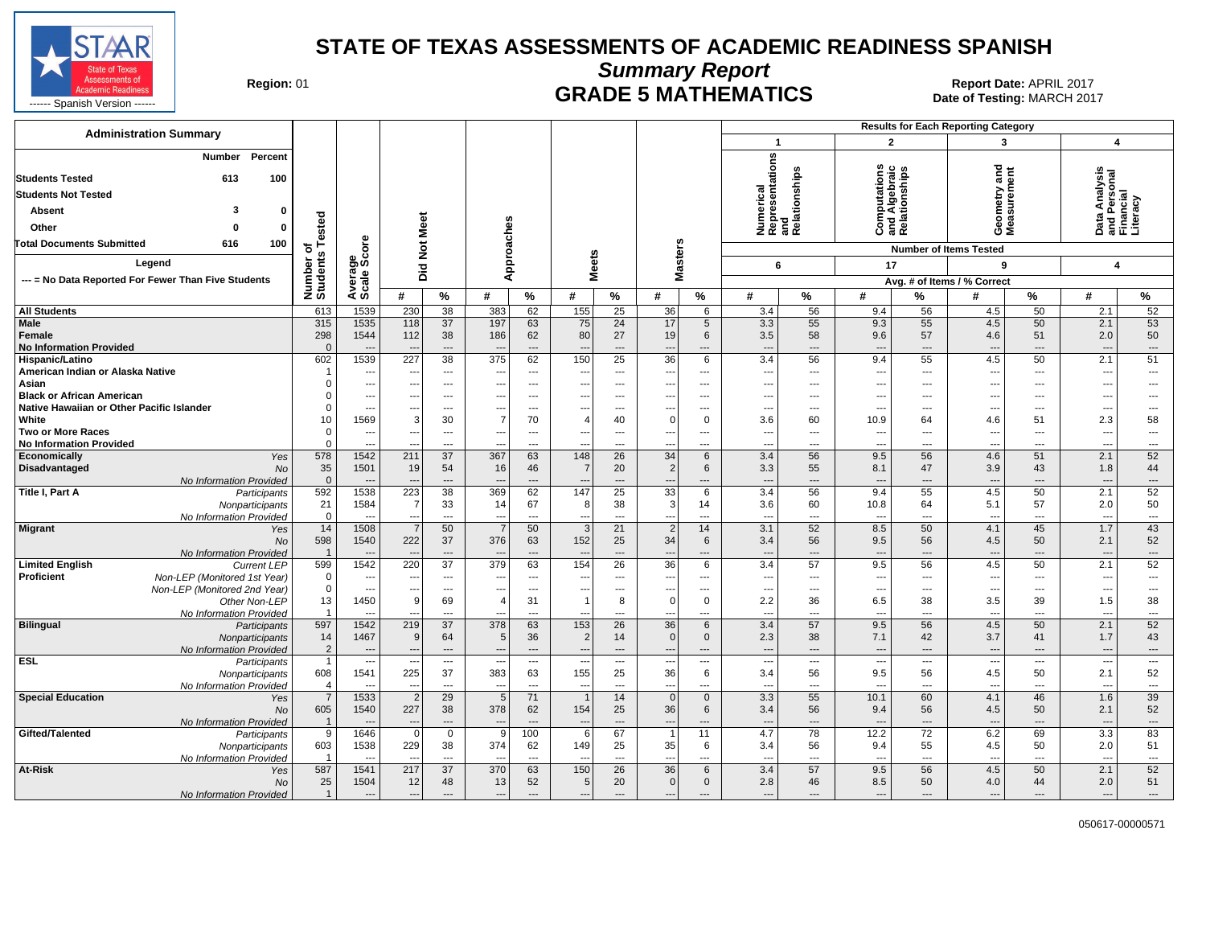

**Summary Report**

Region: 01 **Region: 01 CRADE 5 MATHEMATICS Date of Testing: MARCH 2017 Report Date: APRIL 2017** 

| <b>Administration Summary</b>                                                                                                                                     |                          |                                   |                                        |                                     |                                        |                                |                                            |                 |                                                      |                        |                                                      |                                |                                 |                                                | <b>Results for Each Reporting Category</b> |                                |                                                        |                                                      |
|-------------------------------------------------------------------------------------------------------------------------------------------------------------------|--------------------------|-----------------------------------|----------------------------------------|-------------------------------------|----------------------------------------|--------------------------------|--------------------------------------------|-----------------|------------------------------------------------------|------------------------|------------------------------------------------------|--------------------------------|---------------------------------|------------------------------------------------|--------------------------------------------|--------------------------------|--------------------------------------------------------|------------------------------------------------------|
|                                                                                                                                                                   |                          |                                   |                                        |                                     |                                        |                                |                                            |                 |                                                      |                        | $\mathbf{1}$                                         |                                | $\overline{2}$                  |                                                | 3                                          |                                | 4                                                      |                                                      |
| Percent<br><b>Number</b><br><b>Students Tested</b><br>613<br>100<br><b>Students Not Tested</b><br>3<br><b>Absent</b><br>$\Omega$<br>Other<br>$\Omega$<br>$\Omega$ | ested                    |                                   | Meet                                   |                                     | Approaches                             |                                |                                            |                 |                                                      |                        | Numerical<br>Representations<br>and<br>Relationships |                                |                                 | Computations<br>and Algebraic<br>Relationships | Geometry and<br>Measurement                |                                | Data Analysis<br>and Personal<br>Financial<br>Literacy |                                                      |
| <b>Total Documents Submitted</b><br>100<br>616                                                                                                                    |                          |                                   |                                        |                                     |                                        |                                |                                            |                 |                                                      |                        |                                                      |                                |                                 |                                                |                                            |                                |                                                        |                                                      |
| Legend                                                                                                                                                            | ৳                        | ge<br>Score                       | $\breve{\mathbf{z}}$                   |                                     |                                        |                                | <b>Meets</b>                               |                 | <b>Masters</b>                                       |                        |                                                      |                                |                                 |                                                | <b>Number of Items Tested</b>              |                                |                                                        |                                                      |
|                                                                                                                                                                   |                          |                                   | Did                                    |                                     |                                        |                                |                                            |                 |                                                      |                        | 6                                                    |                                | 17                              |                                                | 9                                          |                                | $\overline{\mathbf{A}}$                                |                                                      |
| --- = No Data Reported For Fewer Than Five Students                                                                                                               | Number o<br>Students     | Average:                          |                                        |                                     | #                                      |                                |                                            |                 | #                                                    |                        | #                                                    |                                | #                               |                                                | Avg. # of Items / % Correct                |                                | #                                                      |                                                      |
|                                                                                                                                                                   |                          | 1539                              | #<br>230                               | $\%$<br>$\overline{38}$             | 383                                    | $\%$<br>62                     | #<br>155                                   | %<br>25         | 36                                                   | $\%$                   |                                                      | %<br>56                        |                                 | %<br>56                                        | #                                          | $\%$<br>50                     | 2.1                                                    | %                                                    |
| <b>All Students</b>                                                                                                                                               | 613<br>315               | 1535                              |                                        |                                     |                                        |                                |                                            | 24              |                                                      | 6                      | 3.4                                                  | 55                             | 9.4                             |                                                | 4.5                                        | 50                             |                                                        | 52<br>53                                             |
| <b>Male</b><br>Female<br><b>No Information Provided</b>                                                                                                           | 298<br>$\Omega$          | 1544                              | 118<br>112<br>$\overline{\phantom{a}}$ | 37<br>38<br>$---$                   | 197<br>186<br>$\overline{\phantom{a}}$ | 63<br>62<br>$---$              | 75<br>80                                   | 27<br>---       | 17<br>19<br>---                                      | 5<br>6<br>---          | 3.3<br>3.5<br>$\overline{\phantom{a}}$               | 58<br>$\overline{a}$           | 9.3<br>9.6<br>---               | 55<br>57<br>$\overline{a}$                     | 4.5<br>4.6<br>$\overline{\phantom{a}}$     | 51<br>$\cdots$                 | 2.1<br>2.0<br>$\overline{\phantom{a}}$                 | 50<br>---                                            |
| Hispanic/Latino                                                                                                                                                   | 602                      | 1539                              | 227                                    | 38                                  | 375                                    | 62                             | 150                                        | 25              | 36                                                   | 6                      | 3.4                                                  | 56                             | 9.4                             | 55                                             | 4.5                                        | 50                             | 2.1                                                    | 51                                                   |
| American Indian or Alaska Native                                                                                                                                  |                          | $\overline{\phantom{a}}$          | $\sim$                                 | $---$                               | ---                                    | $---$                          | $\overline{\phantom{a}}$                   | ---             | $\overline{a}$                                       | ---                    | ---                                                  | $\overline{a}$                 | $\overline{\phantom{a}}$        | $---$                                          | $\overline{a}$                             | $---$                          | $\overline{\phantom{a}}$                               | ---                                                  |
| Asian                                                                                                                                                             |                          | $\overline{\phantom{a}}$          | --                                     | $\overline{\phantom{a}}$            |                                        | $---$                          | ---                                        | ---             | ---                                                  | ---                    | ---                                                  | $\overline{a}$                 | $\qquad \qquad \cdots$          | $---$                                          | $\overline{a}$                             | $---$                          | ---                                                    | ---                                                  |
| <b>Black or African American</b><br>Native Hawaiian or Other Pacific Islander                                                                                     | $\Omega$                 | ---<br>$\overline{\phantom{a}}$   | ---                                    | ---<br>$\cdots$                     | $---$                                  | ---                            | ---                                        | ---<br>---      | ---<br>---                                           | ---                    | ---<br>---                                           | ---<br>---                     | ---<br>$\overline{\phantom{a}}$ | $---$                                          | ---                                        | ---<br>$---$                   | ---<br>---                                             | ---<br>---                                           |
| White                                                                                                                                                             | 10                       | 1569                              | 3                                      | 30                                  | $\overline{7}$                         | 70                             | 4                                          | 40              | $\overline{0}$                                       | 0                      | 3.6                                                  | 60                             | 10.9                            | 64                                             | 4.6                                        | 51                             | 2.3                                                    | 58                                                   |
| <b>Two or More Races</b>                                                                                                                                          | $\overline{0}$           | ---                               |                                        | $\overline{\phantom{a}}$            |                                        | ---                            |                                            | ---             | ---                                                  | ---                    | ---                                                  | ---                            | $\qquad \qquad \cdots$          | ---                                            | ---                                        | $\overline{\phantom{a}}$       | ---                                                    | ---                                                  |
| <b>No Information Provided</b>                                                                                                                                    | $\Omega$                 | ---                               |                                        | $---$                               | $- -$                                  | $---$                          | ٠.                                         | ---             | $\overline{\phantom{a}}$                             | ---                    | ---                                                  | ---                            | $\overline{\phantom{a}}$        | $---$                                          | ---                                        | $---$                          | $\ddotsc$                                              | $\qquad \qquad \cdots$                               |
| Economically<br>Yes                                                                                                                                               | 578                      | 1542                              | 211                                    | 37                                  | 367                                    | 63                             | 148                                        | 26              | 34                                                   | 6                      | 3.4                                                  | 56                             | 9.5                             | 56                                             | 4.6                                        | 51                             | 2.1                                                    | 52                                                   |
| Disadvantaged<br>No                                                                                                                                               | 35                       | 1501                              | 19                                     | 54                                  | 16                                     | 46                             | 7                                          | 20              | $\vert$ 2                                            | 6                      | 3.3                                                  | 55                             | 8.1                             | 47                                             | 3.9                                        | 43                             | 1.8                                                    | 44                                                   |
| No Information Provided                                                                                                                                           | $\Omega$                 | $---$                             | $\overline{\phantom{a}}$               | $\overline{a}$                      |                                        | $---$                          |                                            | ---             | $\overline{a}$                                       | ---                    | $\overline{\phantom{a}}$                             | $\overline{\phantom{a}}$       | $\overline{\phantom{a}}$        | $\overline{a}$                                 | $\overline{\phantom{a}}$                   | $\qquad \qquad \cdots$         | $\overline{\phantom{a}}$                               | ---                                                  |
| Title I, Part A<br>Participants                                                                                                                                   | 592                      | 1538                              | 223                                    | $\overline{38}$                     | 369                                    | 62                             | 147                                        | $\overline{25}$ | 33                                                   | 6                      | 3.4                                                  | 56                             | 9.4                             | 55                                             | 4.5                                        | 50                             | 2.1                                                    | 52                                                   |
| Nonparticipants                                                                                                                                                   | 21                       | 1584                              | $\overline{7}$                         | 33                                  | 14                                     | 67                             | 8                                          | 38              | $\vert$ 3                                            | 14                     | 3.6                                                  | 60                             | 10.8                            | 64                                             | 5.1                                        | 57                             | 2.0                                                    | 50                                                   |
| No Information Provided                                                                                                                                           | $\overline{0}$<br>14     | 1508                              | $\overline{7}$                         | $\cdots$<br>50                      | ---<br>$\overline{7}$                  | $\overline{\phantom{a}}$<br>50 | 3                                          | ---<br>21       | ---<br>$\vert$ 2                                     | ---<br>14              | ---<br>3.1                                           | ---<br>52                      | $\overline{\phantom{a}}$<br>8.5 | ---<br>50                                      | $\overline{\phantom{a}}$<br>4.1            | $\overline{\phantom{a}}$<br>45 | ---<br>1.7                                             | ---<br>43                                            |
| <b>Migrant</b><br>Yes<br><b>No</b>                                                                                                                                | 598                      | 1540<br>$\overline{\phantom{a}}$  | 222                                    | 37<br>$\overline{a}$                | 376                                    | 63<br>---                      | 152                                        | 25<br>---       | 34<br>$\overline{\phantom{a}}$                       | $6\phantom{1}6$<br>--- | 3.4                                                  | 56<br>$\overline{\phantom{a}}$ | 9.5<br>$\overline{\phantom{a}}$ | 56<br>$\overline{\phantom{a}}$                 | 4.5<br>$\overline{\phantom{a}}$            | 50<br>$\overline{\phantom{a}}$ | 2.1                                                    | 52<br>---                                            |
| No Information Provided<br><b>Limited English</b><br><b>Current LEP</b>                                                                                           | 599                      | 1542                              | 220                                    | 37                                  | 379                                    | 63                             | 154                                        | 26              | 36                                                   | 6                      | $\overline{\phantom{a}}$<br>3.4                      | 57                             | 9.5                             | 56                                             | 4.5                                        | 50                             | $\overline{\phantom{a}}$<br>2.1                        | 52                                                   |
| Proficient<br>Non-LEP (Monitored 1st Year)                                                                                                                        | $\mathbf{0}$             | $---$                             | $\overline{\phantom{a}}$               | $---$                               | $- -$                                  | $---$                          | --                                         | ---             | ---                                                  | ---                    | ---                                                  | $---$                          | ---                             | $---$                                          | $---$                                      | $---$                          | ---                                                    | $\cdots$                                             |
| Non-LEP (Monitored 2nd Year)                                                                                                                                      | $\overline{0}$           | $\overline{\phantom{a}}$          | $\overline{a}$                         | ---                                 |                                        | $\overline{\phantom{a}}$       | $\overline{a}$                             | ---             | ---                                                  | ---                    | ---                                                  | ---                            | $\overline{\phantom{a}}$        | ---                                            | $\overline{\phantom{a}}$                   | $\overline{\phantom{a}}$       | Ξ.                                                     | ---                                                  |
| Other Non-LEP                                                                                                                                                     | 13                       | 1450                              | 9                                      | 69                                  | $\boldsymbol{\Delta}$                  | 31                             |                                            | 8               | $\Omega$                                             | $\mathbf 0$            | 2.2                                                  | 36                             | 6.5                             | 38                                             | 3.5                                        | 39                             | 1.5                                                    | 38                                                   |
| No Information Provided                                                                                                                                           |                          | $---$                             | $\sim$                                 | $---$                               | ---                                    | $---$                          | $\overline{a}$                             | $\overline{a}$  | $\sim$                                               | ---                    | $\overline{a}$                                       | $\overline{a}$                 | $\sim$                          | $---$                                          | $\sim$                                     | $---$                          | $\overline{a}$                                         | $\overline{\phantom{a}}$                             |
| <b>Bilingual</b><br>Participants                                                                                                                                  | 597                      | 1542                              | 219                                    | 37                                  | 378                                    | 63                             | 153                                        | 26              | 36                                                   | 6                      | 3.4                                                  | 57                             | 9.5                             | 56                                             | 4.5                                        | 50                             | 2.1                                                    | 52                                                   |
| Nonparticipants                                                                                                                                                   | 14<br>$\overline{2}$     | 1467                              | 9<br>$\overline{\phantom{a}}$          | 64<br>$\hspace{1.5cm} \textbf{---}$ | 5<br>$\overline{\phantom{a}}$          | 36<br>$\overline{\phantom{a}}$ | $\overline{2}$<br>$\overline{\phantom{a}}$ | 14<br>---       | $\mathbf{0}$                                         | $\mathbf 0$            | 2.3<br>$\overline{\phantom{a}}$                      | 38<br>$\overline{\phantom{a}}$ | 7.1<br>$---$                    | 42<br>$---$                                    | 3.7<br>$\overline{\phantom{a}}$            | 41                             | 1.7<br>$\overline{\phantom{a}}$                        | 43                                                   |
| No Information Provided<br><b>ESL</b><br>Participants                                                                                                             | $\overline{1}$           | $---$<br>$\hspace{0.05cm} \ldots$ |                                        | $\cdots$                            | $\overline{\phantom{a}}$               | $\overline{\phantom{a}}$       | $\overline{\phantom{a}}$                   | ---             | $\overline{\phantom{a}}$<br>$\overline{\phantom{a}}$ | $---$<br>---           | $\overline{\phantom{a}}$                             | ---                            | $\hspace{0.05cm} \ldots$        | $\hspace{0.05cm} \ldots$                       | $\overline{\phantom{a}}$                   | $---$<br>$\scriptstyle\cdots$  | $\overline{\phantom{a}}$                               | $\hspace{0.05cm} \ldots$<br>$\overline{\phantom{a}}$ |
| Nonparticipants                                                                                                                                                   | 608                      | 1541                              | 225                                    | 37                                  | 383                                    | 63                             | 155                                        | 25              | 36                                                   | $6\phantom{.0}$        | 3.4                                                  | 56                             | 9.5                             | 56                                             | 4.5                                        | 50                             | 2.1                                                    | 52                                                   |
| No Information Provided                                                                                                                                           | $\overline{\phantom{a}}$ | $---$                             | $\overline{\phantom{a}}$               | $\overline{\phantom{a}}$            | $\ddotsc$                              | $\overline{\phantom{a}}$       | --                                         | ---             | $\overline{\phantom{a}}$                             | ---                    | ---                                                  | ---                            | $\overline{\phantom{a}}$        | ---                                            | $\overline{\phantom{a}}$                   | $\overline{\phantom{a}}$       | $\overline{\phantom{a}}$                               | $\overline{\phantom{a}}$                             |
| <b>Special Education</b><br>Yes                                                                                                                                   | $\overline{7}$           | 1533                              | $\overline{2}$                         | $\overline{29}$                     | $\overline{5}$                         | $\overline{71}$                |                                            | 14              | $\Omega$                                             | $\overline{0}$         | 3.3                                                  | 55                             | 10.1                            | 60                                             | 4.1                                        | 46                             | 1.6                                                    | 39                                                   |
| No                                                                                                                                                                | 605                      | 1540                              | 227                                    | 38                                  | 378                                    | 62                             | 154                                        | 25              | 36                                                   | 6                      | 3.4                                                  | 56                             | 9.4                             | 56                                             | 4.5                                        | 50                             | 2.1                                                    | 52                                                   |
| No Information Provided                                                                                                                                           | $\overline{1}$           | $---$                             | $\overline{\phantom{a}}$               | $---$                               | $\overline{\phantom{a}}$               | $\overline{\phantom{a}}$       | --                                         | $\overline{a}$  | $\overline{\phantom{a}}$                             | ---                    | $\overline{\phantom{a}}$                             | $\overline{\phantom{a}}$       | $---$                           | $---$                                          | $---$                                      | $---$                          | $\overline{\phantom{a}}$                               | $\cdots$                                             |
| Gifted/Talented<br>Participants                                                                                                                                   | 9                        | 1646                              | $\overline{0}$                         | $\mathbf 0$                         | 9                                      | 100                            | 6                                          | 67              | $\overline{1}$                                       | 11                     | 4.7                                                  | 78                             | 12.2                            | 72                                             | 6.2                                        | 69                             | 3.3                                                    | 83                                                   |
| Nonparticipants                                                                                                                                                   | 603                      | 1538                              | 229                                    | 38                                  | 374                                    | 62                             | 149                                        | 25              | 35                                                   | 6                      | 3.4                                                  | 56                             | 9.4                             | 55                                             | 4.5                                        | 50                             | 2.0                                                    | 51                                                   |
| No Information Provided<br>At-Risk<br>Yes                                                                                                                         | 587                      | $---$<br>1541                     | $\overline{\phantom{a}}$<br>217        | $\overline{\phantom{a}}$<br>37      | $\sim$<br>370                          | $\overline{\phantom{a}}$<br>63 | --<br>150                                  | ---<br>26       | $\overline{\phantom{a}}$<br>36                       | ---<br>6               | $\overline{\phantom{a}}$<br>3.4                      | ---<br>57                      | $\overline{\phantom{a}}$<br>9.5 | $\overline{a}$<br>56                           | $\overline{\phantom{a}}$<br>4.5            | $\overline{\phantom{a}}$<br>50 | $\overline{\phantom{a}}$<br>2.1                        | $\overline{\phantom{a}}$<br>52                       |
| <b>No</b>                                                                                                                                                         | 25                       | 1504                              | 12                                     | 48                                  | 13                                     | 52                             | 5 <sub>5</sub>                             | 20              | 0                                                    | $\mathbf 0$            | 2.8                                                  | 46                             | 8.5                             | 50                                             | 4.0                                        | 44                             | 2.0                                                    | 51                                                   |
| No Information Provided                                                                                                                                           | $\overline{1}$           | $\overline{\phantom{a}}$          | $\overline{\phantom{a}}$               | $\overline{a}$                      | $\overline{\phantom{a}}$               | $\overline{\phantom{a}}$       | $\overline{\phantom{a}}$                   | ---             | ---                                                  | ---                    | ---                                                  | $\overline{\phantom{a}}$       | $\overline{\phantom{a}}$        | ---                                            | $\overline{\phantom{a}}$                   | $\overline{\phantom{a}}$       | ---                                                    | $\cdots$                                             |
|                                                                                                                                                                   |                          |                                   |                                        |                                     |                                        |                                |                                            |                 |                                                      |                        |                                                      |                                |                                 |                                                |                                            |                                |                                                        |                                                      |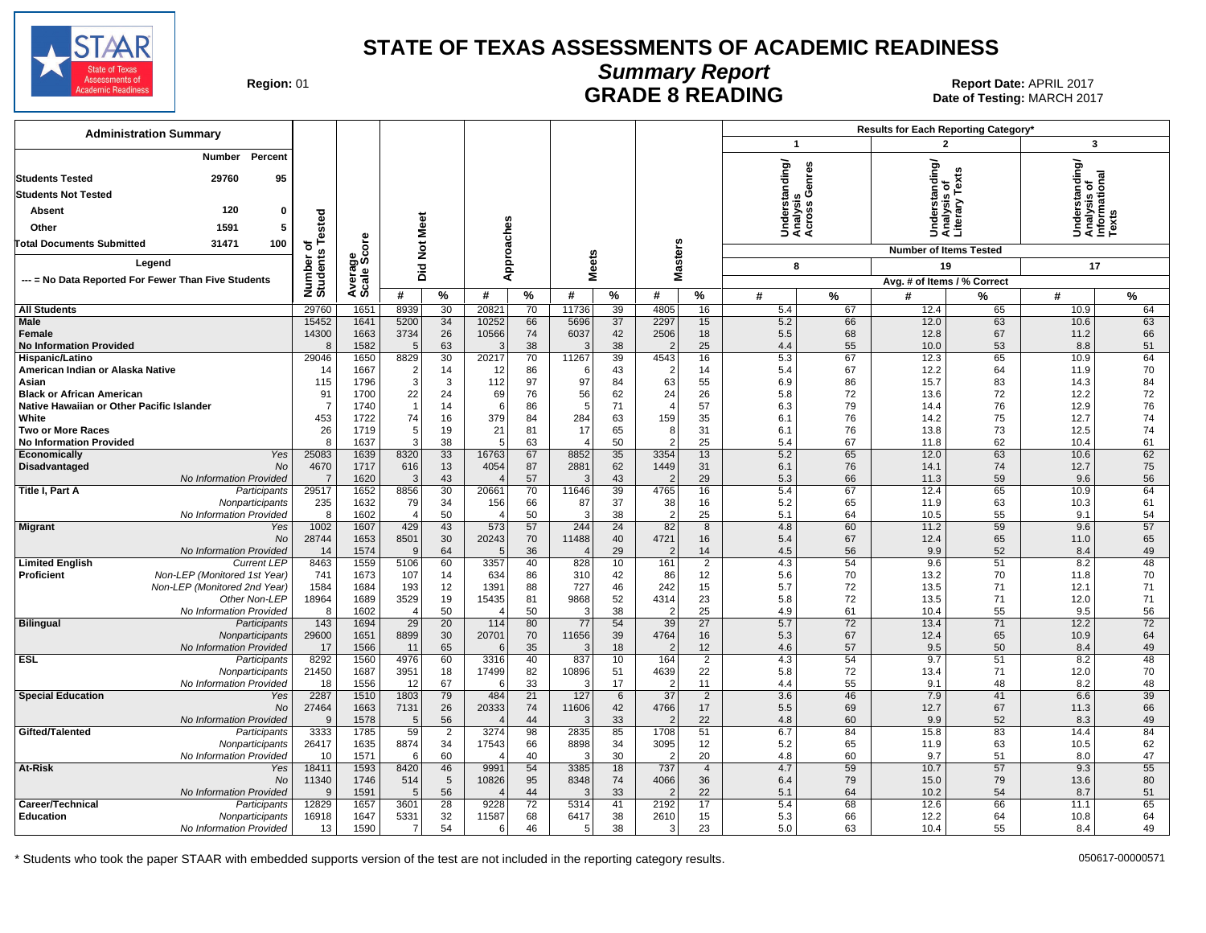

# **Summary Report**

Region: 01 **Region: 01 CONTRIGGLARGE 8 READING Report Date: APRIL 2017**<br>1201 **RADE 8 READING** Date of Testing: MARCH Date of Testing: MARCH 2017

| <b>Administration Summary</b>                               |                       |                |                      |                 |                         |               |               |          |                        |                      |              |               | Results for Each Reporting Category* |              |                                            |          |
|-------------------------------------------------------------|-----------------------|----------------|----------------------|-----------------|-------------------------|---------------|---------------|----------|------------------------|----------------------|--------------|---------------|--------------------------------------|--------------|--------------------------------------------|----------|
|                                                             |                       |                |                      |                 |                         |               |               |          |                        |                      | $\mathbf{1}$ |               | $\overline{\mathbf{c}}$              |              | 3                                          |          |
| Percent<br>Number                                           |                       |                |                      |                 |                         |               |               |          |                        |                      | derstanding/ | enres         | nderstanding/<br>nalysis_of          |              | nderstanding/<br>nalysis of<br>formational |          |
| 95<br><b>Students Tested</b><br>29760                       |                       |                |                      |                 |                         |               |               |          |                        |                      |              |               |                                      | řě           |                                            |          |
| <b>Students Not Tested</b>                                  |                       |                |                      |                 |                         |               |               |          |                        |                      |              | ್ತ್ರ ಲೆ       |                                      | 2            |                                            |          |
| 120<br>Absent<br>0                                          |                       |                |                      |                 |                         |               |               |          |                        |                      |              | alysi<br>ross |                                      | nara<br>tera |                                            |          |
| 1591<br>5<br>Other                                          |                       |                |                      |                 |                         |               |               |          |                        |                      | र्ड ई ई      |               | <b>ASS</b>                           |              | SËŽA                                       |          |
| <b>Total Documents Submitted</b><br>31471<br>100            | Tested<br>৳           |                |                      |                 |                         |               |               |          |                        |                      |              |               |                                      |              |                                            |          |
| Legend                                                      |                       | ge<br>Score    |                      |                 |                         |               |               |          |                        |                      |              |               | <b>Number of Items Tested</b>        |              |                                            |          |
|                                                             | Number of<br>Students |                | Did Not Meet         |                 | Approaches              |               | <b>Meets</b>  |          | <b>Masters</b>         |                      | 8            |               | 19                                   |              | 17                                         |          |
| --- = No Data Reported For Fewer Than Five Students         |                       | Avera<br>Scale | #                    | %               | #                       | $\frac{9}{6}$ | #             |          | #                      | $\%$                 | #            |               | Avg. # of Items / % Correct<br>#     |              | #                                          |          |
|                                                             |                       |                |                      |                 |                         |               |               | %        |                        |                      |              | %             |                                      | %            |                                            | %        |
| <b>All Students</b><br>Male                                 | 29760<br>15452        | 1651<br>1641   | 8939<br>5200         | 30<br>34        | 20821<br>10252          | 70<br>66      | 11736<br>5696 | 39<br>37 | 4805<br>2297           | 16<br>15             | 5.4<br>5.2   | 67<br>66      | 12.4<br>12.0                         | 65<br>63     | 10.9<br>10.6                               | 64<br>63 |
| <b>Female</b>                                               | 14300                 | 1663           | 3734                 | 26              | 10566                   | 74            | 6037          | 42       | 2506                   | 18                   | 5.5          | 68            | 12.8                                 | 67           | 11.2                                       | 66       |
| <b>No Information Provided</b>                              | 8                     | 1582           | .5                   | 63              | ß,                      | 38            | Ŀ.            | 38       | -2                     | 25                   | 4.4          | 55            | 10.0                                 | 53           | 8.8                                        | 51       |
| Hispanic/Latino                                             | 29046                 | 1650           | 8829                 | 30              | 20217                   | 70            | 11267         | 39       | 4543                   | 16                   | 5.3          | 67            | 12.3                                 | 65           | 10.9                                       | 64       |
| American Indian or Alaska Native                            | 14                    | 1667           | $\overline{2}$       | 14              | 12                      | 86            | -6            | 43       | $\overline{2}$         | 14                   | 5.4          | 67            | 12.2                                 | 64           | 11.9                                       | 70       |
| Asian<br><b>Black or African American</b>                   | 115<br>91             | 1796<br>1700   | 3<br>22              | 3<br>24         | 112<br>69               | 97<br>76      | 97<br>56      | 84<br>62 | 63<br>24               | 55<br>26             | 6.9<br>5.8   | 86<br>72      | 15.7<br>13.6                         | 83<br>72     | 14.3<br>12.2                               | 84<br>72 |
| Native Hawaiian or Other Pacific Islander                   | $\overline{7}$        | 1740           | $\overline{1}$       | 14              | 6                       | 86            | 5             | 71       | $\overline{4}$         | 57                   | 6.3          | 79            | 14.4                                 | 76           | 12.9                                       | 76       |
| White                                                       | 453                   | 1722           | 74                   | 16              | 379                     | 84            | 284           | 63       | 159                    | 35                   | 6.1          | 76            | 14.2                                 | 75           | 12.7                                       | 74       |
| <b>Two or More Races</b>                                    | 26                    | 1719           | 5                    | 19              | 21                      | 81            | 17            | 65       | 8                      | 31                   | 6.1          | 76            | 13.8                                 | 73           | 12.5                                       | 74       |
| <b>No Information Provided</b>                              | 8                     | 1637           | 3                    | 38              | $\overline{5}$          | 63            | $\Delta$      | 50       | 2                      | 25                   | 5.4          | 67            | 11.8                                 | 62           | 10.4                                       | 61       |
| Economically<br>Yes                                         | 25083<br>4670         | 1639           | 8320                 | 33              | 16763                   | 67<br>87      | 8852          | 35       | 3354                   | 13                   | 5.2          | 65            | 12.0                                 | 63<br>74     | 10.6                                       | 62       |
| Disadvantaged<br>No<br>No Information Provided              | $\overline{7}$        | 1717<br>1620   | 616<br>3             | 13<br>43        | 4054                    | 57            | 2881<br>G     | 62<br>43 | 1449<br>-2             | 31<br>29             | 6.1<br>5.3   | 76<br>66      | 14.1<br>11.3                         | 59           | 12.7<br>9.6                                | 75<br>56 |
| Title I, Part A<br>Participants                             | 29517                 | 1652           | 8856                 | 30              | 20661                   | 70            | 11646         | 39       | 4765                   | 16                   | 5.4          | 67            | 12.4                                 | 65           | 10.9                                       | 64       |
| Nonparticipants                                             | 235                   | 1632           | 79                   | 34              | 156                     | 66            | 87            | 37       | 38                     | 16                   | 5.2          | 65            | 11.9                                 | 63           | 10.3                                       | 61       |
| No Information Provided                                     | 8                     | 1602           | $\overline{4}$       | 50              |                         | 50            | 3             | 38       | $\overline{2}$         | 25                   | 5.1          | 64            | 10.5                                 | 55           | 9.1                                        | 54       |
| <b>Migrant</b><br>Yes                                       | 1002                  | 1607           | 429                  | 43              | 573                     | 57            | 244           | 24       | 82                     | $\overline{8}$       | 4.8          | 60            | 11.2                                 | 59           | 9.6                                        | 57       |
| No<br>No Information Provided                               | 28744<br>14           | 1653<br>1574   | 8501<br>$\mathbf{q}$ | 30<br>64        | 20243<br>$\overline{5}$ | 70<br>36      | 11488         | 40<br>29 | 4721<br>$\overline{2}$ | 16<br>14             | 5.4<br>4.5   | 67<br>56      | 12.4<br>9.9                          | 65<br>52     | 11.0<br>8.4                                | 65<br>49 |
| <b>Current LEP</b><br><b>Limited English</b>                | 8463                  | 1559           | 5106                 | 60              | 3357                    | 40            | 828           | 10       | 161                    | $\overline{2}$       | 4.3          | 54            | 9.6                                  | 51           | 8.2                                        | 48       |
| <b>Proficient</b><br>Non-LEP (Monitored 1st Year)           | 741                   | 1673           | 107                  | 14              | 634                     | 86            | 310           | 42       | 86                     | 12                   | 5.6          | 70            | 13.2                                 | 70           | 11.8                                       | 70       |
| Non-LEP (Monitored 2nd Year)                                | 1584                  | 1684           | 193                  | 12              | 1391                    | 88            | 727           | 46       | 242                    | 15                   | 5.7          | 72            | 13.5                                 | 71           | 12.1                                       | 71       |
| Other Non-LEP                                               | 18964                 | 1689           | 3529                 | 19              | 15435                   | 81            | 9868          | 52       | 4314                   | 23                   | 5.8          | 72            | 13.5                                 | 71           | 12.0                                       | 71       |
| No Information Provided<br><b>Bilingual</b><br>Participants | 8<br>143              | 1602<br>1694   | $\overline{4}$<br>29 | 50<br>20        | $\overline{4}$<br>114   | 50<br>80      | 3<br>77       | 38<br>54 | $\overline{2}$<br>39   | 25<br>27             | 4.9<br>5.7   | 61<br>72      | 10.4<br>13.4                         | 55<br>71     | 9.5<br>12.2                                | 56<br>72 |
| Nonparticipants                                             | 29600                 | 1651           | 8899                 | 30              | 20701                   | 70            | 11656         | 39       | 4764                   | 16                   | 5.3          | 67            | 12.4                                 | 65           | 10.9                                       | 64       |
| No Information Provided                                     | 17                    | 1566           | 11                   | 65              | -6                      | 35            | G             | 18       | $\tilde{z}$            | 12                   | 4.6          | 57            | 9.5                                  | 50           | 8.4                                        | 49       |
| <b>ESL</b><br>Participants                                  | 8292                  | 1560           | 4976                 | 60              | 3316                    | 40            | 837           | 10       | 164                    | $\overline{2}$       | 4.3          | 54            | 9.7                                  | 51           | 8.2                                        | 48       |
| Nonparticipants                                             | 21450                 | 1687           | 3951                 | 18              | 17499                   | 82            | 10896         | 51       | 4639                   | 22                   | 5.8          | 72            | 13.4                                 | 71           | 12.0                                       | 70       |
| No Information Provided<br><b>Special Education</b><br>Yes  | 18<br>2287            | 1556<br>1510   | 12<br>1803           | 67<br>79        | -6<br>484               | 33<br>21      | 3<br>127      | 17<br>6  | $\overline{2}$<br>37   | 11<br>$\overline{2}$ | 4.4<br>3.6   | 55<br>46      | 9.1<br>7.9                           | 48<br>41     | 8.2<br>6.6                                 | 48<br>39 |
| No                                                          | 27464                 | 1663           | 7131                 | 26              | 20333                   | 74            | 11606         | 42       | 4766                   | 17                   | 5.5          | 69            | 12.7                                 | 67           | 11.3                                       | 66       |
| No Information Provided                                     | 9                     | 1578           | .5                   | 56              |                         | 44            | Ŀ.            | 33       | $\overline{2}$         | 22                   | 4.8          | 60            | 9.9                                  | 52           | 8.3                                        | 49       |
| Gifted/Talented<br>Participants                             | 3333                  | 1785           | 59                   | $\overline{2}$  | 3274                    | 98            | 2835          | 85       | 1708                   | 51                   | 6.7          | 84            | 15.8                                 | 83           | 14.4                                       | 84       |
| Nonparticipants                                             | 26417                 | 1635           | 8874                 | 34              | 17543                   | 66            | 8898          | 34       | 3095                   | 12                   | 5.2          | 65            | 11.9                                 | 63           | 10.5                                       | 62       |
| No Information Provided<br>At-Risk<br>Yes                   | 10<br>18411           | 1571<br>1593   | 6<br>8420            | 60<br>46        | 9991                    | 40<br>54      | 3<br>3385     | 30<br>18 | 2<br>737               | 20<br>$\overline{4}$ | 4.8<br>4.7   | 60<br>59      | 9.7<br>10.7                          | 51<br>57     | 8.0<br>9.3                                 | 47<br>55 |
| No                                                          | 11340                 | 1746           | 514                  | $5\phantom{.0}$ | 10826                   | 95            | 8348          | 74       | 4066                   | 36                   | 6.4          | 79            | 15.0                                 | 79           | 13.6                                       | 80       |
| No Information Provided                                     | $\mathbf{q}$          | 1591           | .5                   | 56              | $\Delta$                | 44            | ß             | 33       | -2                     | 22                   | 5.1          | 64            | 10.2                                 | 54           | 8.7                                        | 51       |
| Career/Technical<br>Participants                            | 12829                 | 1657           | 3601                 | 28              | 9228                    | 72            | 5314          | 41       | 2192                   | 17                   | 5.4          | 68            | 12.6                                 | 66           | 11.1                                       | 65       |
| <b>Education</b><br>Nonparticipants                         | 16918                 | 1647           | 5331                 | 32              | 11587                   | 68            | 6417          | 38       | 2610                   | 15                   | 5.3          | 66            | 12.2                                 | 64           | 10.8                                       | 64       |
| No Information Provided                                     | 13                    | 1590           | 7                    | 54              | 6                       | 46            | 5             | 38       | 3                      | 23                   | 5.0          | 63            | 10.4                                 | 55           | 8.4                                        | 49       |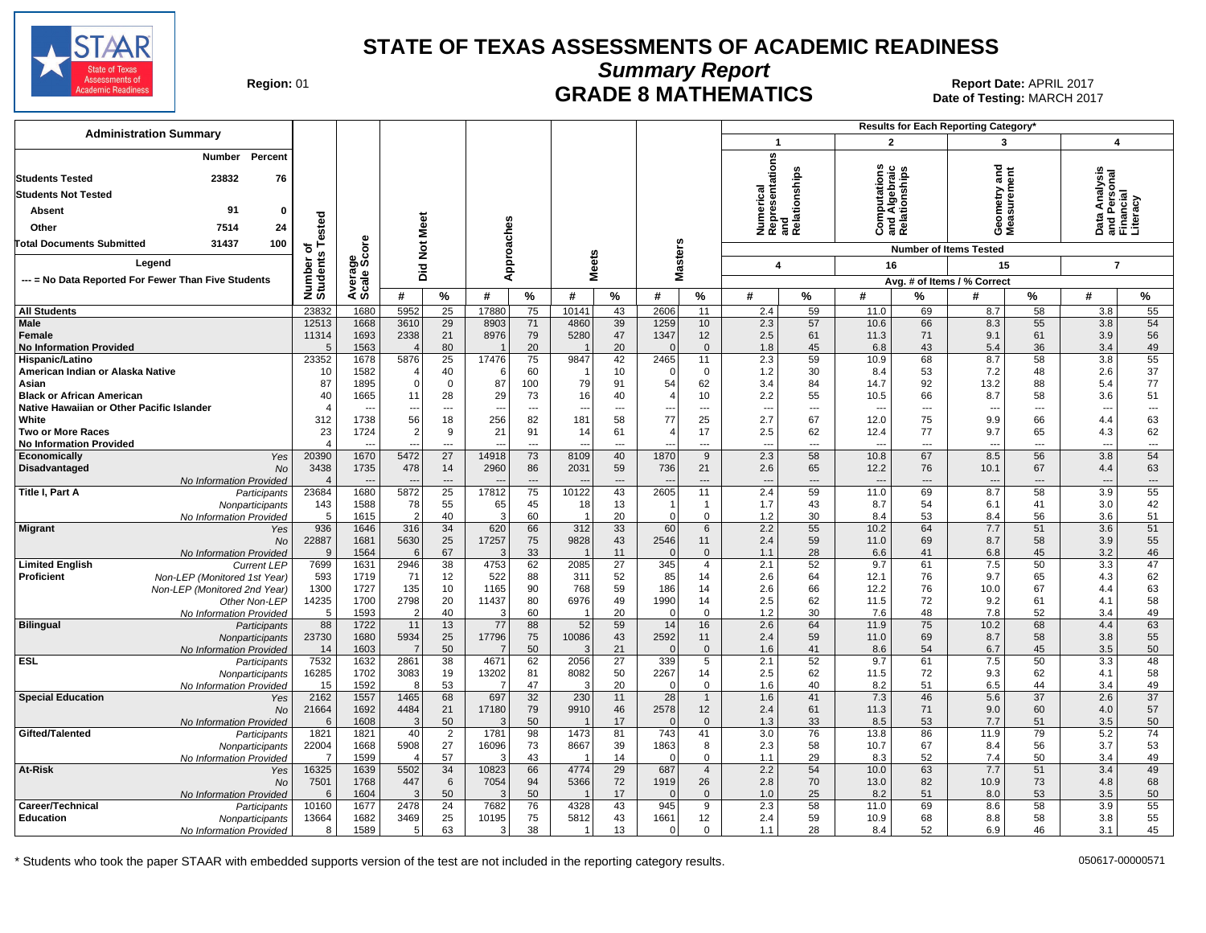

**Summary Report**

Region: 01 **Region: 01 CRADE 8 MATHEMATICS Date of Testing: MARCH 2017 Report Date: APRIL 2017** Date of Testing: MARCH 2017

| <b>Administration Summary</b>                                                     |                                  |                                  |                        |                          |                                |                          |                        |                 |                          | <b>Results for Each Reporting Category'</b> |                                                      |                          |                          |                                                |                                  |                 |                                                        |                          |
|-----------------------------------------------------------------------------------|----------------------------------|----------------------------------|------------------------|--------------------------|--------------------------------|--------------------------|------------------------|-----------------|--------------------------|---------------------------------------------|------------------------------------------------------|--------------------------|--------------------------|------------------------------------------------|----------------------------------|-----------------|--------------------------------------------------------|--------------------------|
|                                                                                   |                                  |                                  |                        |                          |                                |                          |                        |                 |                          |                                             | $\mathbf{1}$                                         |                          | $\overline{2}$           |                                                | 3                                |                 | 4                                                      |                          |
| Percent<br>Number<br>23832<br><b>Students Tested</b><br>76                        |                                  |                                  |                        |                          |                                |                          |                        |                 |                          |                                             | Numerical<br>Representations<br>and<br>Relationships |                          |                          | Computations<br>and Algebraic<br>Relationships | ठ<br>ieometry and<br>leasurement |                 | Data Analysis<br>and Personal<br>Financial<br>Literacy |                          |
| <b>Students Not Tested</b>                                                        |                                  |                                  |                        |                          |                                |                          |                        |                 |                          |                                             |                                                      |                          |                          |                                                |                                  |                 |                                                        |                          |
| 91<br>$\Omega$                                                                    |                                  |                                  |                        |                          |                                |                          |                        |                 |                          |                                             |                                                      |                          |                          |                                                |                                  |                 |                                                        |                          |
| Absent                                                                            |                                  |                                  | Meet                   |                          |                                |                          |                        |                 |                          |                                             |                                                      |                          |                          |                                                |                                  |                 |                                                        |                          |
| Other<br>7514<br>24                                                               | ested                            |                                  |                        |                          |                                |                          |                        |                 |                          |                                             |                                                      |                          |                          |                                                | ÓΣ                               |                 |                                                        |                          |
| <b>Total Documents Submitted</b><br>31437<br>100                                  | ō<br>Ŵ                           | ge<br>Score                      | $\frac{5}{2}$          |                          |                                |                          |                        |                 |                          |                                             |                                                      |                          |                          |                                                | <b>Number of Items Tested</b>    |                 |                                                        |                          |
| Legend                                                                            | Number<br>Student:               |                                  | Did                    |                          | pproaches                      |                          | <b>Meets</b>           |                 | <b>Masters</b>           |                                             | $\boldsymbol{4}$                                     |                          | 16                       |                                                | 15                               |                 | $\overline{7}$                                         |                          |
| --- = No Data Reported For Fewer Than Five Students                               |                                  | Avera                            |                        |                          | ⋖                              |                          |                        |                 |                          |                                             |                                                      |                          |                          |                                                | Avg. # of Items / % Correct      |                 |                                                        |                          |
|                                                                                   |                                  |                                  | #                      | $\frac{9}{6}$            | #                              | %                        | #                      | $\%$            | #                        | $\%$                                        | #                                                    | %                        | #                        | %                                              | #                                | $\%$            | #                                                      | %                        |
| <b>All Students</b>                                                               | 23832                            | 1680                             | 5952                   | 25                       | 17880                          | 75                       | 10141                  | 43              | 2606                     | 11                                          | 2.4                                                  | 59                       | 11.0                     | 69                                             | 8.7                              | $\overline{58}$ | 3.8                                                    | 55                       |
| Male<br><b>Female</b><br><b>No Information Provided</b>                           | 12513<br>11314<br>$\overline{5}$ | 1668<br>1693<br>1563             | 3610<br>2338           | 29<br>21<br>80           | 8903<br>8976                   | 71<br>79<br>20           | 4860<br>5280           | 39<br>47<br>20  | 1259<br>1347<br>$\Omega$ | 10<br>12<br>$\mathbf 0$                     | 2.3<br>2.5<br>1.8                                    | 57<br>61<br>45           | 10.6<br>11.3<br>6.8      | 66<br>71<br>43                                 | 8.3<br>9.1<br>5.4                | 55<br>61<br>36  | 3.8<br>3.9<br>3.4                                      | 54<br>56<br>49           |
| Hispanic/Latino                                                                   | 23352                            | 1678                             | 5876                   | 25                       | 17476                          | 75                       | 9847                   | 42              | 2465                     | 11                                          | 2.3                                                  | 59                       | 10.9                     | 68                                             | 8.7                              | 58              | 3.8                                                    | 55                       |
| American Indian or Alaska Native                                                  | 10                               | 1582                             |                        | 40                       |                                | 60                       |                        | 10              | $\Omega$                 | $\mathbf{0}$                                | 1.2                                                  | 30                       | 8.4                      | 53                                             | 7.2                              | 48              | 2.6                                                    | 37                       |
| Asian                                                                             | 87                               | 1895                             | $\Omega$               | $\mathbf 0$<br>28        | 87                             | 100<br>73                | 79                     | 91              | 54<br>$\overline{4}$     | 62<br>10                                    | 3.4                                                  | 84<br>55                 | 14.7                     | 92<br>66                                       | 13.2                             | 88<br>58        | 5.4                                                    | 77<br>51                 |
| <b>Black or African American</b><br>Native Hawaiian or Other Pacific Islander     | 40                               | 1665<br>$\overline{\phantom{a}}$ | 11<br>$\sim$           | $\overline{\phantom{a}}$ | 29<br>$\overline{\phantom{a}}$ | $\overline{\phantom{a}}$ | 16<br>---              | 40<br>---       | ---                      | ---                                         | 2.2<br>$\overline{\phantom{a}}$                      | ---                      | 10.5<br>---              | $\overline{a}$                                 | 8.7<br>$\overline{\phantom{a}}$  | $\overline{a}$  | 3.6<br>--                                              | $\overline{\phantom{a}}$ |
| White                                                                             | 312                              | 1738                             | 56                     | 18                       | 256                            | 82                       | 181                    | 58              | 77                       | 25                                          | 2.7                                                  | 67                       | 12.0                     | 75                                             | 9.9                              | 66              | 4.4                                                    | 63                       |
| <b>Two or More Races</b>                                                          | 23                               | 1724                             | $\overline{2}$         | 9                        | 21                             | 91                       | 14                     | 61              | $\overline{4}$           | 17                                          | 2.5                                                  | 62                       | 12.4                     | 77                                             | 9.7                              | 65              | 4.3                                                    | 62                       |
| <b>No Information Provided</b>                                                    | $\Delta$                         |                                  |                        | $---$                    | $\overline{\phantom{a}}$       | $---$                    | $\overline{a}$         | $\overline{a}$  | $\overline{a}$           | ---                                         | $\overline{\phantom{a}}$                             | $\overline{a}$           | $\overline{\phantom{a}}$ | $---$                                          | $\overline{a}$                   | $\overline{a}$  | $\overline{a}$                                         | ---                      |
| Economically<br>Yes<br>Disadvantaged<br><b>No</b>                                 | 20390<br>3438                    | 1670<br>1735                     | 5472<br>478            | 27<br>14                 | 14918<br>2960                  | 73<br>86                 | 8109<br>2031           | 40<br>59        | 1870<br>736              | 9<br>21                                     | 2.3<br>2.6                                           | 58<br>65                 | 10.8<br>12.2             | 67<br>76                                       | 8.5<br>10.1                      | 56<br>67        | 3.8<br>4.4                                             | 54<br>63                 |
| No Information Provided                                                           | $\overline{4}$                   |                                  |                        | $---$                    |                                | $---$                    |                        | $\overline{a}$  |                          | ---                                         | $\overline{\phantom{a}}$                             | $\overline{\phantom{a}}$ | $---$                    | $---$                                          | $\overline{a}$                   | $---$           | $\overline{a}$                                         | ---                      |
| Title I, Part A<br>Participants                                                   | 23684                            | 1680                             | 5872                   | 25                       | 17812                          | 75                       | 10122                  | 43              | 2605                     | 11                                          | 2.4                                                  | 59                       | 11.0                     | 69                                             | 8.7                              | 58              | 3.9                                                    | 55                       |
| Nonparticipants                                                                   | 143<br>5                         | 1588                             | 78<br>$\overline{2}$   | 55                       | 65<br>3                        | 45                       | 18                     | 13              | -1<br>$\Omega$           | $\overline{1}$                              | 1.7                                                  | 43                       | 8.7                      | 54                                             | 6.1                              | 41              | 3.0                                                    | 42                       |
| No Information Provided<br><b>Migrant</b><br>Yes                                  | 936                              | 1615<br>1646                     | 316                    | 40<br>34                 | 620                            | 60<br>66                 | 312                    | 20<br>33        | 60                       | $\mathbf 0$<br>$6\phantom{1}$               | 1.2<br>2.2                                           | 30<br>55                 | 8.4<br>10.2              | 53<br>64                                       | 8.4<br>7.7                       | 56<br>51        | 3.6<br>3.6                                             | 51<br>51                 |
| <b>No</b>                                                                         | 22887                            | 1681                             | 5630                   | 25                       | 17257                          | 75                       | 9828                   | 43              | 2546                     | 11                                          | 2.4                                                  | 59                       | 11.0                     | 69                                             | 8.7                              | 58              | 3.9                                                    | 55                       |
| No Information Provided                                                           | 9                                | 1564                             | 6                      | 67                       | 3                              | 33                       |                        | 11              | $\Omega$                 | $\mathbf{0}$                                | 1.1                                                  | 28                       | 6.6                      | 41                                             | 6.8                              | 45              | 3.2                                                    | 46                       |
| <b>Limited English</b><br><b>Current LEP</b>                                      | 7699                             | 1631                             | 2946                   | 38                       | 4753                           | 62                       | 2085                   | $\overline{27}$ | 345                      | $\overline{4}$                              | 2.1                                                  | 52                       | 9.7                      | 61                                             | 7.5                              | 50              | 3.3                                                    | 47                       |
| <b>Proficient</b><br>Non-LEP (Monitored 1st Year)<br>Non-LEP (Monitored 2nd Year) | 593<br>1300                      | 1719<br>1727                     | 71<br>135              | 12<br>10                 | 522<br>1165                    | 88<br>90                 | 311<br>768             | 52<br>59        | 85<br>186                | 14<br>14                                    | 2.6<br>2.6                                           | 64<br>66                 | 12.1<br>12.2             | 76<br>76                                       | 9.7<br>10.0                      | 65<br>67        | 4.3<br>4.4                                             | 62<br>63                 |
| Other Non-LEP                                                                     | 14235                            | 1700                             | 2798                   | 20                       | 11437                          | 80                       | 6976                   | 49              | 1990                     | 14                                          | 2.5                                                  | 62                       | 11.5                     | 72                                             | 9.2                              | 61              | 4.1                                                    | 58                       |
| No Information Provided                                                           | 5                                | 1593                             | 2                      | 40                       | 3                              | 60                       |                        | 20              | $\mathbf{0}$             | $\mathbf{0}$                                | 1.2                                                  | 30                       | 7.6                      | 48                                             | 7.8                              | 52              | 3.4                                                    | 49                       |
| <b>Bilingual</b><br>Participants                                                  | 88                               | 1722                             | 11                     | 13                       | 77                             | 88                       | 52                     | 59              | 14                       | 16                                          | 2.6                                                  | 64                       | 11.9                     | 75                                             | 10.2                             | 68              | 4.4                                                    | 63                       |
| Nonparticipants<br>No Information Provided                                        | 23730<br>14                      | 1680<br>1603                     | 5934<br>$\overline{7}$ | 25<br>50                 | 17796<br>$\overline{7}$        | 75<br>50                 | 10086<br>3             | 43<br>21        | 2592<br>$\Omega$         | 11<br>$\mathbf 0$                           | 2.4<br>1.6                                           | 59<br>41                 | 11.0<br>8.6              | 69<br>54                                       | 8.7<br>6.7                       | 58<br>45        | 3.8<br>3.5                                             | 55<br>50                 |
| ESL.<br>Participants                                                              | 7532                             | 1632                             | 2861                   | 38                       | 4671                           | 62                       | 2056                   | 27              | 339                      | 5                                           | 2.1                                                  | 52                       | 9.7                      | 61                                             | 7.5                              | 50              | 3.3                                                    | 48                       |
| Nonparticipants                                                                   | 16285                            | 1702                             | 3083                   | 19                       | 13202                          | 81                       | 8082                   | 50              | 2267                     | 14                                          | 2.5                                                  | 62                       | 11.5                     | 72                                             | 9.3                              | 62              | 4.1                                                    | 58                       |
| No Information Provided                                                           | 15                               | 1592                             | -8                     | 53                       |                                | 47                       | 3                      | 20              | $\Omega$                 | $\mathbf 0$                                 | 1.6                                                  | 40                       | 8.2                      | 51                                             | 6.5                              | 44              | 3.4                                                    | 49                       |
| <b>Special Education</b><br>Yes<br><b>No</b>                                      | 2162<br>21664                    | 1557<br>1692                     | 1465<br>4484           | 68<br>21                 | 697<br>17180                   | $\overline{32}$<br>79    | 230<br>9910            | 11<br>46        | $\overline{28}$<br>2578  | $\overline{1}$<br>12                        | 1.6<br>2.4                                           | 41<br>61                 | 7.3<br>11.3              | 46<br>71                                       | 5.6<br>9.0                       | 37<br>60        | 2.6<br>4.0                                             | $\overline{37}$<br>57    |
| No Information Provided                                                           | 6                                | 1608                             | $\mathcal{R}$          | 50                       |                                | 50                       |                        | 17              | $\mathbf{0}$             | $\mathbf{0}$                                | 1.3                                                  | 33                       | 8.5                      | 53                                             | 7.7                              | 51              | 3.5                                                    | 50                       |
| Gifted/Talented<br>Participants                                                   | 1821                             | 1821                             | 40                     | $\overline{2}$           | 1781                           | 98                       | 1473                   | 81              | 743                      | 41                                          | 3.0                                                  | 76                       | 13.8                     | 86                                             | 11.9                             | 79              | 5.2                                                    | $\overline{74}$          |
| Nonparticipants                                                                   | 22004                            | 1668                             | 5908                   | 27                       | 16096                          | 73                       | 8667                   | 39              | 1863                     | 8                                           | 2.3                                                  | 58                       | 10.7                     | 67                                             | 8.4                              | 56              | 3.7                                                    | 53                       |
| No Information Provided<br>At-Risk<br>Yes                                         | -7<br>16325                      | 1599<br>1639                     | 5502                   | 57<br>34                 | 10823                          | 43<br>66                 | - 1<br>4774            | 14<br>29        | $\Omega$<br>687          | $\mathbf 0$<br>$\overline{4}$               | 1.1<br>2.2                                           | 29<br>54                 | 8.3<br>10.0              | 52<br>63                                       | 7.4<br>7.7                       | 50<br>51        | 3.4<br>3.4                                             | 49<br>49                 |
| <b>No</b>                                                                         | 7501                             | 1768                             | 447                    | 6                        | 7054                           | 94                       | 5366                   | 72              | 1919                     | 26                                          | 2.8                                                  | 70                       | 13.0                     | 82                                             | 10.9                             | 73              | 4.8                                                    | 68                       |
| No Information Provided                                                           | 6                                | 1604                             | $\mathcal{R}$          | 50                       | 3                              | 50                       |                        | 17              | $\Omega$                 | $\mathbf 0$                                 | 1.0                                                  | 25                       | 8.2                      | 51                                             | 8.0                              | 53              | 3.5                                                    | 50                       |
| Career/Technical<br>Participants                                                  | 10160                            | 1677                             | 2478                   | $\overline{24}$          | 7682                           | 76                       | 4328                   | 43              | 945                      | 9                                           | 2.3                                                  | 58                       | 11.0                     | 69                                             | 8.6                              | 58              | 3.9                                                    | 55                       |
| <b>Education</b><br>Nonparticipants<br>No Information Provided                    | 13664<br>8                       | 1682<br>1589                     | 3469<br>5              | 25<br>63                 | 10195<br>3                     | 75<br>38                 | 5812<br>$\overline{1}$ | 43<br>13        | 1661<br>$\Omega$         | 12<br>$\Omega$                              | 2.4<br>1.1                                           | 59<br>28                 | 10.9<br>8.4              | 68<br>52                                       | 8.8<br>6.9                       | 58<br>46        | 3.8<br>3.1                                             | 55<br>45                 |
|                                                                                   |                                  |                                  |                        |                          |                                |                          |                        |                 |                          |                                             |                                                      |                          |                          |                                                |                                  |                 |                                                        |                          |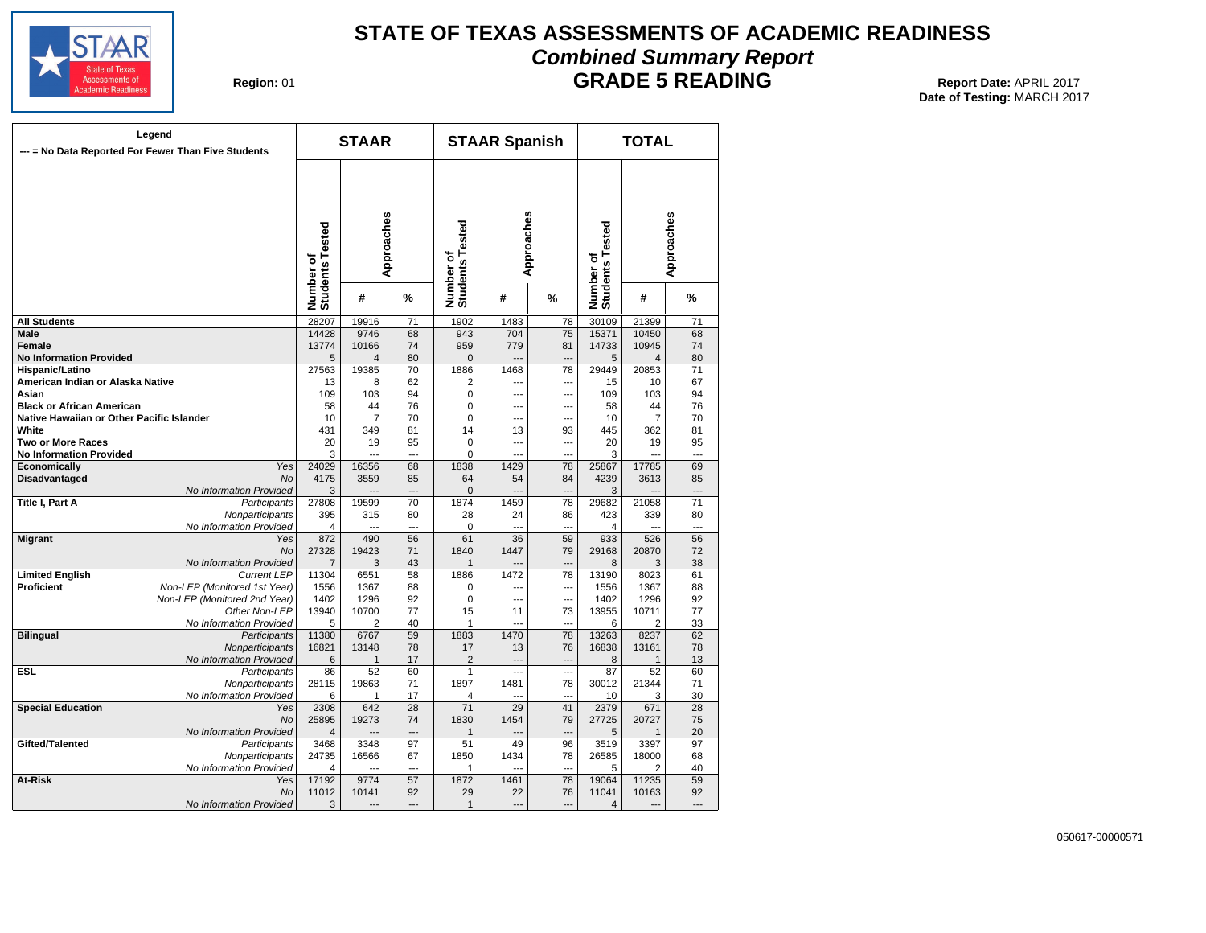

## **STATE OF TEXAS ASSESSMENTS OF ACADEMIC READINESS Combined Summary Report**

**Region: 01** 

**GRADE 5 READING** Report Date: APRIL 2017 **Date of Testing:**  MARCH 2017

| --- = No Data Reported For Fewer Than Five Students | Legend                                     |                              | <b>STAAR</b>   |                 |                              | <b>STAAR Spanish</b> |                |                              | <b>TOTAL</b>   |                 |
|-----------------------------------------------------|--------------------------------------------|------------------------------|----------------|-----------------|------------------------------|----------------------|----------------|------------------------------|----------------|-----------------|
|                                                     |                                            | Number of<br>Students Tested |                | Approaches      | Number of<br>Students Tested | Approaches           |                | Number of<br>Students Tested |                | Approaches      |
|                                                     |                                            |                              | #              | %               |                              | #                    | %              |                              | #              | %               |
| <b>All Students</b>                                 |                                            | 28207                        | 19916          | $\overline{71}$ | 1902                         | 1483                 | 78             | 30109                        | 21399          | $\overline{71}$ |
| <b>Male</b>                                         |                                            | 14428                        | 9746           | 68              | 943                          | 704                  | 75             | 15371                        | 10450          | 68              |
| <b>Female</b>                                       |                                            | 13774                        | 10166          | 74              | 959                          | 779                  | 81             | 14733                        | 10945          | 74              |
| <b>No Information Provided</b>                      |                                            | 5                            | 4              | 80              | $\mathbf{0}$                 | ---                  |                | 5                            | $\overline{4}$ | 80              |
| Hispanic/Latino                                     |                                            | 27563                        | 19385          | 70              | 1886                         | 1468                 | 78             | 29449                        | 20853          | 71              |
| American Indian or Alaska Native                    |                                            | 13                           | 8              | 62              | $\overline{2}$               | ---                  | ---            | 15                           | 10             | 67              |
| Asian                                               |                                            | 109                          | 103            | 94              | $\mathbf 0$                  | ---                  | ---            | 109                          | 103            | 94              |
| <b>Black or African American</b>                    |                                            | 58                           | 44             | 76              | $\Omega$                     | ---                  | ---            | 58                           | 44             | 76              |
| Native Hawaiian or Other Pacific Islander           |                                            | 10                           | $\overline{7}$ | 70              | $\mathbf 0$                  | ---                  | ---            | 10                           | $\overline{7}$ | 70              |
| White                                               |                                            | 431                          | 349            | 81              | 14                           | 13                   | 93             | 445                          | 362            | 81              |
| Two or More Races                                   |                                            | 20<br>3                      | 19             | 95<br>---       | 0<br>$\Omega$                | ---                  | ---            | 20                           | 19             | 95<br>---       |
| <b>No Information Provided</b><br>Economically      | Yes                                        | 24029                        | 16356          | 68              | 1838                         | 1429                 | 78             | 3<br>25867                   | 17785          | 69              |
| Disadvantaged                                       | <b>No</b>                                  | 4175                         | 3559           | 85              | 64                           | 54                   | 84             | 4239                         | 3613           | 85              |
|                                                     | No Information Provided                    | 3                            |                | ---             | $\Omega$                     | ---                  |                | 3                            |                | ---             |
| <b>Title I, Part A</b>                              | Participants                               | 27808                        | 19599          | 70              | 1874                         | 1459                 | 78             | 29682                        | 21058          | 71              |
|                                                     | Nonparticipants                            | 395                          | 315            | 80              | 28                           | 24                   | 86             | 423                          | 339            | 80              |
|                                                     | No Information Provided                    | 4                            |                | ---             | 0                            | ---                  | ---            | 4                            | $\sim$         | ---             |
| <b>Migrant</b>                                      | Yes                                        | 872                          | 490            | 56              | 61                           | 36                   | 59             | 933                          | 526            | 56              |
|                                                     | No                                         | 27328                        | 19423          | 71              | 1840                         | 1447                 | 79             | 29168                        | 20870          | 72              |
|                                                     | No Information Provided                    | $\overline{7}$               | 3              | 43              | $\mathbf{1}$                 |                      | $\overline{a}$ | 8                            | 3              | 38              |
| <b>Limited English</b>                              | <b>Current LEP</b>                         | 11304                        | 6551           | 58              | 1886                         | 1472                 | 78             | 13190                        | 8023           | 61              |
| <b>Proficient</b>                                   | Non-LEP (Monitored 1st Year)               | 1556                         | 1367           | 88              | $\Omega$                     | ---                  | ---            | 1556                         | 1367           | 88              |
|                                                     | Non-LEP (Monitored 2nd Year)               | 1402                         | 1296           | 92              | $\Omega$                     | ---                  | $\overline{a}$ | 1402                         | 1296           | 92              |
|                                                     | Other Non-LEP                              | 13940                        | 10700          | 77              | 15                           | 11                   | 73             | 13955                        | 10711          | 77              |
|                                                     | No Information Provided                    | 5                            | 2              | 40              | $\mathbf{1}$                 | ---                  | ---            | 6                            | 2              | 33              |
| <b>Bilingual</b>                                    | Participants                               | 11380                        | 6767           | 59              | 1883                         | 1470                 | 78             | 13263                        | 8237           | 62              |
|                                                     | Nonparticipants                            | 16821                        | 13148          | 78              | 17                           | 13                   | 76             | 16838                        | 13161          | 78              |
|                                                     | No Information Provided                    | 6                            | $\mathbf{1}$   | 17              | 2                            | ---                  | ---            | 8                            | 1              | 13              |
| <b>ESL</b>                                          | Participants                               | 86<br>28115                  | 52<br>19863    | 60<br>71        | $\mathbf{1}$<br>1897         | ---<br>1481          | ---<br>78      | 87<br>30012                  | 52<br>21344    | 60<br>71        |
|                                                     | Nonparticipants<br>No Information Provided | 6                            | 1              | 17              | 4                            | ---                  | ÷.,            | 10                           | 3              | 30              |
| <b>Special Education</b>                            | Yes                                        | 2308                         | 642            | $\overline{28}$ | $\overline{71}$              | 29                   | 41             | 2379                         | 671            | $\overline{28}$ |
|                                                     | No                                         | 25895                        | 19273          | 74              | 1830                         | 1454                 | 79             | 27725                        | 20727          | 75              |
|                                                     | No Information Provided                    | $\overline{4}$               |                | ---             | $\mathbf{1}$                 | ---                  | $\overline{a}$ | 5                            | 1              | 20              |
| Gifted/Talented                                     | Participants                               | 3468                         | 3348           | 97              | 51                           | 49                   | 96             | 3519                         | 3397           | 97              |
|                                                     | Nonparticipants                            | 24735                        | 16566          | 67              | 1850                         | 1434                 | 78             | 26585                        | 18000          | 68              |
|                                                     | No Information Provided                    | 4                            |                | ---             | 1                            | ---                  | ---            | 5                            | 2              | 40              |
| At-Risk                                             | Yes                                        | 17192                        | 9774           | 57              | 1872                         | 1461                 | 78             | 19064                        | 11235          | 59              |
|                                                     | No                                         | 11012                        | 10141          | 92              | 29                           | 22                   | 76             | 11041                        | 10163          | 92              |
|                                                     | No Information Provided                    | 3                            | $\overline{a}$ | ---             | $\mathbf{1}$                 | $\overline{a}$       | ---            | $\overline{\mathbf{4}}$      | $\overline{a}$ | ---             |